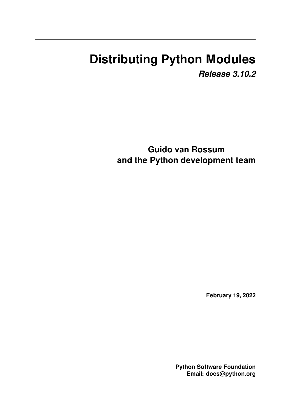# **Distributing Python Modules**

*Release 3.10.2*

**Guido van Rossum and the Python development team**

**February 19, 2022**

**Python Software Foundation Email: docs@python.org**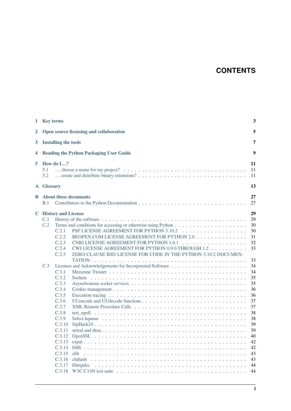# **CONTENTS**

| $\mathbf{1}$ | <b>Key terms</b>                                                                                                                                                                                                                                                             |                                                                                                    |  |  |  |  |  |
|--------------|------------------------------------------------------------------------------------------------------------------------------------------------------------------------------------------------------------------------------------------------------------------------------|----------------------------------------------------------------------------------------------------|--|--|--|--|--|
| 2            | Open source licensing and collaboration                                                                                                                                                                                                                                      |                                                                                                    |  |  |  |  |  |
| 3            | <b>Installing the tools</b><br><b>Reading the Python Packaging User Guide</b>                                                                                                                                                                                                |                                                                                                    |  |  |  |  |  |
| 4            |                                                                                                                                                                                                                                                                              |                                                                                                    |  |  |  |  |  |
| 5            | How do I?<br>11<br>11<br>5.1<br>5.2<br>11                                                                                                                                                                                                                                    |                                                                                                    |  |  |  |  |  |
|              | 13<br><b>A</b> Glossary                                                                                                                                                                                                                                                      |                                                                                                    |  |  |  |  |  |
| B            | <b>About these documents</b><br>B.1                                                                                                                                                                                                                                          |                                                                                                    |  |  |  |  |  |
| C            | <b>History and License</b><br>C.1<br>C.2<br>C.2.1<br>C.2.2<br>BEOPEN.COM LICENSE AGREEMENT FOR PYTHON 2.0<br>C.2.3<br>C.2.4<br>CWI LICENSE AGREEMENT FOR PYTHON 0.9.0 THROUGH 1.2<br>C.2.5<br>ZERO-CLAUSE BSD LICENSE FOR CODE IN THE PYTHON 3.10.2 DOCUMEN-<br>C.3<br>C.3.1 | 29<br>29<br>30<br>30<br>31<br>32<br>33<br>33<br>34<br>34                                           |  |  |  |  |  |
|              | C.3.2<br>C.3.3<br>C.3.4<br>C.3.5<br>C.3.6<br>C.3.7<br>C.3.8<br>C.3.9<br>C.3.10<br>C.3.11<br>C.3.12<br>C.3.13<br>C.3.14<br>C.3.15<br>zlib<br>C.3.16<br>C.3.17<br>C.3.18                                                                                                       | 35<br>35<br>36<br>36<br>37<br>37<br>38<br>38<br>39<br>39<br>40<br>42<br>42<br>43<br>43<br>44<br>44 |  |  |  |  |  |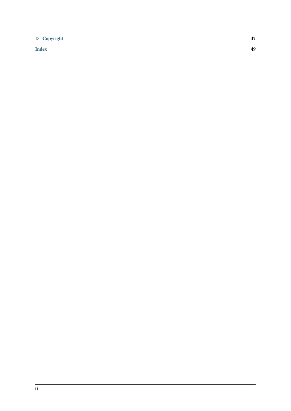### **D Copyright 47**

#### **Index 49**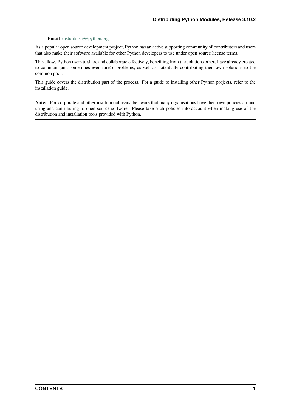#### **Email** distutils-sig@python.org

As a popular open source development project, Python has an active supporting community of contributors and users that also make their software available for other Python developers to use under open source license terms.

This allows P[ython users to share and co](mailto:distutils-sig@python.org)llaborate effectively, benefiting from the solutions others have already created to common (and sometimes even rare!) problems, as well as potentially contributing their own solutions to the common pool.

This guide covers the distribution part of the process. For a guide to installing other Python projects, refer to the installation guide.

Note: For corporate and other institutional users, be aware that many organisations have their own policies around using and contributing to open source software. Please take such policies into account when making use of the distribution and installation tools provided with Python.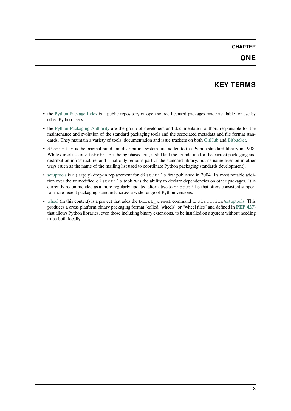### **KEY TERMS**

- <span id="page-6-1"></span><span id="page-6-0"></span>• the Python Package Index is a public repository of open source licensed packages made available for use by other Python users
- the Python Packaging Authority are the group of developers and documentation authors responsible for the maintenance and evolution of the standard packaging tools and the associated metadata and file format standar[ds. They maintain a var](https://pypi.org)iety of tools, documentation and issue trackers on both GitHub and Bitbucket.
- distutils is the original build and distribution system first added to the Python standard library in 1998. Wh[ile direct use of](https://www.pypa.io/) distutils is being phased out, it still laid the foundation for the current packaging and distribution infrastructure, and it not only remains part of the standard library, but its name lives on in other ways (such as the name of the mailing list used to coordinate Python packaging st[andards](https://github.com/pypa) deve[lopment\).](https://bitbucket.org/pypa/)
- setuptools is a (largely) drop-in replacement for distutils first published in 2004. Its most notable addition over the unmodified distutils tools was the ability to declare dependencies on other packages. It is currently recommended as a more regularly updated alternative to distutils that offers consistent support for more recent packaging standards across a wide range of Python versions.
- [wheel](https://setuptools.readthedocs.io/en/latest/) (in this context) is a project that adds the bdist\_wheel command to distutils/setuptools. This produces a cross platform binary packaging format (called "wheels" or "wheel files" and defined in **PEP 427**) that allows Python libraries, even those including binary extensions, to be installed on a system without needing to be built locally.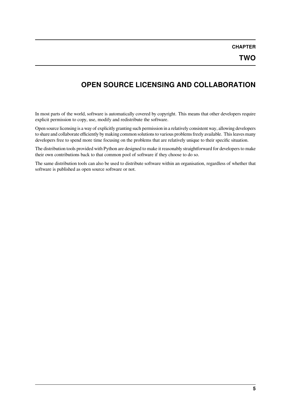# <span id="page-8-0"></span>**OPEN SOURCE LICENSING AND COLLABORATION**

In most parts of the world, software is automatically covered by copyright. This means that other developers require explicit permission to copy, use, modify and redistribute the software.

Open source licensing is a way of explicitly granting such permission in a relatively consistent way, allowing developers to share and collaborate efficiently by making common solutions to various problems freely available. This leaves many developers free to spend more time focusing on the problems that are relatively unique to their specific situation.

The distribution tools provided with Python are designed to make it reasonably straightforward for developers to make their own contributions back to that common pool of software if they choose to do so.

The same distribution tools can also be used to distribute software within an organisation, regardless of whether that software is published as open source software or not.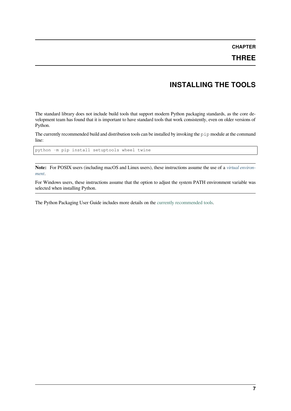### **INSTALLING THE TOOLS**

<span id="page-10-0"></span>The standard library does not include build tools that support modern Python packaging standards, as the core development team has found that it is important to have standard tools that work consistently, even on older versions of Python.

The currently recommended build and distribution tools can be installed by invoking the pip module at the command line:

python -m pip install setuptools wheel twine

**Note:** For POSIX users (including macOS and Linux users), these instructions assume the use of a *virtual environment*.

For Windows users, these instructions assume that the option to adjust the system PATH environment variable was selected when installing Python.

[The P](#page-28-0)ython Packaging User Guide includes more details on the currently recommended tools.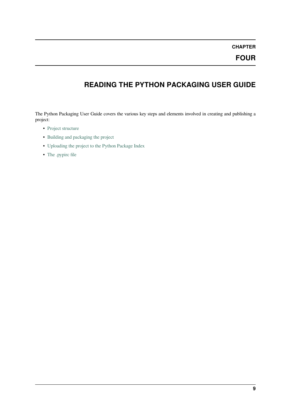## **READING THE PYTHON PACKAGING USER GUIDE**

<span id="page-12-0"></span>The Python Packaging User Guide covers the various key steps and elements involved in creating and publishing a project:

- Project structure
- Building and packaging the project
- Uploading the project to the Python Package Index
- [The .pypirc file]( https://packaging.python.org/tutorials/packaging-projects/#packaging-python-projects)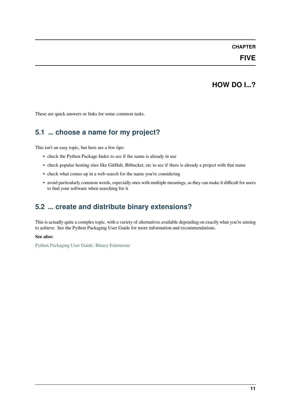**FIVE**

### **HOW DO I…?**

<span id="page-14-0"></span>These are quick answers or links for some common tasks.

### **5.1 … choose a name for my project?**

<span id="page-14-1"></span>This isn't an easy topic, but here are a few tips:

- check the Python Package Index to see if the name is already in use
- check popular hosting sites like GitHub, Bitbucket, etc to see if there is already a project with that name
- check what comes up in a web search for the name you're considering
- avoid particularly common words, especially ones with multiple meanings, as they can make it difficult for users to find your software when searching for it

### **5.2 … create and distribute binary extensions?**

<span id="page-14-2"></span>This is actually quite a complex topic, with a variety of alternatives available depending on exactly what you're aiming to achieve. See the Python Packaging User Guide for more information and recommendations.

#### **See also:**

Python Packaging User Guide: Binary Extensions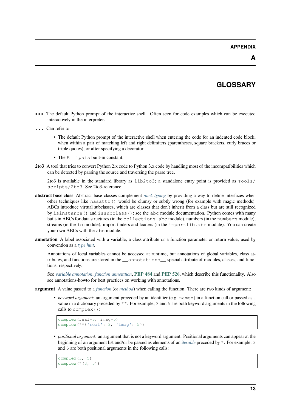**A**

### **GLOSSARY**

- <span id="page-16-4"></span><span id="page-16-0"></span>**>>>** The default Python prompt of the interactive shell. Often seen for code examples which can be executed interactively in the interpreter.
- **...** Can refer to:
	- The default Python prompt of the interactive shell when entering the code for an indented code block, when within a pair of matching left and right delimiters (parentheses, square brackets, curly braces or triple quotes), or after specifying a decorator.
	- The Ellipsis built-in constant.
- **2to3** A tool that tries to convert Python 2.x code to Python 3.x code by handling most of the incompatibilities which can be detected by parsing the source and traversing the parse tree.

2to3 is available in the standard library as lib2to3; a standalone entry point is provided as Tools/ scripts/2to3. See 2to3-reference.

- **abstract base class** Abstract base classes complement *duck-typing* by providing a way to define interfaces when other techniques like hasattr() would be clumsy or subtly wrong (for example with magic methods). ABCs introduce virtual subclasses, which are classes that don't inherit from a class but are still recognized by isinstance() and issubclass(); see the abc module documentation. Python comes with many built-in ABCs for data structures (in the collec[tions.abc](#page-19-0) module), numbers (in the numbers module), streams (in the io module), import finders and loaders (in the importlib.abc module). You can create your own ABCs with the abc module.
- <span id="page-16-1"></span>**annotation** A label associated with a variable, a class attribute or a function parameter or return value, used by convention as a *type hint*.

<span id="page-16-3"></span>Annotations of local variables cannot be accessed at runtime, but annotations of global variables, class attributes, and functions are stored in the \_\_annotations\_\_ special attribute of modules, classes, and functions, respectiv[ely.](#page-27-0)

See *variable annotation*, *function annotation*, **PEP 484** and **PEP 526**, which describe this functionality. Also see annotations-howto for best practices on working with annotations.

**argument** A value passed to a *function* (or *method*) when calling the function. There are two kinds of argument:

• *[keyword argument](#page-28-1)*: [an argument preced](#page-20-0)[ed by an id](https://www.python.org/dev/peps/pep-0484)enti[fier \(e.g.](https://www.python.org/dev/peps/pep-0526) name=) in a function call or passed as a value in a dictionary preceded by  $*$ . For example, 3 and 5 are both keyword arguments in the following calls to complex[\(\)](#page-20-1):

```
complex(real=3, imag=5)
complex(**{'real': 3, 'imag': 5})
```
• *positional argument*: an argument that is not a keyword argument. Positional arguments can appear at the beginning of an argument list and/or be passed as elements of an *iterable* preceded by \*. For example, 3 and 5 are both positional arguments in the following calls:

```
complex(3, 5)
complex(*(3, 5))
```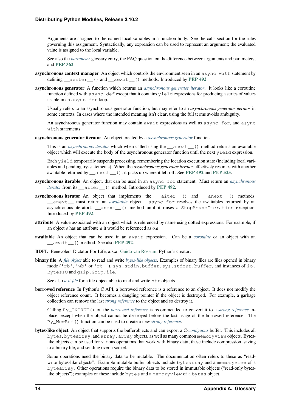<span id="page-17-7"></span>Arguments are assigned to the named local variables in a function body. See the calls section for the rules governing this assignment. Syntactically, any expression can be used to represent an argument; the evaluated value is assigned to the local variable.

See also the *parameter* glossary entry, the FAQ question on the difference between arguments and parameters, and **PEP 362**.

- **asynchronous context manager** An object which controls the environment seen in an async with statement by defining \_\_[aenter\\_](#page-24-0)\_() and \_\_aexit\_\_() methods. Introduced by **PEP 492**.
- **asynchro[nous gene](https://www.python.org/dev/peps/pep-0362)rator** A function which returns an *asynchronous generator iterator*. It looks like a coroutine function defined with async def except that it contains yield expressions for producing a series of values usable in an async for loop.

<span id="page-17-1"></span>Usually refers to an asynchronous generator function, but may refer to an *[asynchro](https://www.python.org/dev/peps/pep-0492)nous generator iterator* in some contexts. In cases where the intended meani[ng isn't clear, using the full terms](#page-17-0) avoids ambiguity.

An asynchronous generator function may contain await expressions as well as async for, and async with statements.

**asynchronous generator iterator** An object created by a *asynchronous generator* function.

This is an *asynchronous iterator* which when called using the \_\_anext\_\_() method returns an awaitable object which will execute the body of the asynchronous generator function until the next yield expression.

<span id="page-17-0"></span>Each yield temporarily suspends processing, reme[mbering the location exe](#page-17-1)cution state (including local variables and [pending try-statements](#page-17-2)). When the *asynchronous generator iterator* effectively resumes with another awaitable returned by \_\_anext\_\_(), it picks up where it left off. See **PEP 492** and **PEP 525**.

- **asynchronous iterable** An object, that can be used in an async for statement. Must return an *asynchronous iterator* from its \_\_aiter\_\_() method. Introduced by **PEP 492**.
- **asynchronous iterator** An object that implements the \_\_aiter\_() [and](https://www.python.org/dev/peps/pep-0492) \_\_anext\_() methods. \_\_anext\_\_ must return an *awaitable* object. async for resolves the awaitables returned by an asynchronous iterator's \_\_anext\_\_() method until [it raises](https://www.python.org/dev/peps/pep-0492) a StopAsyncIteration [exception.](#page-17-2) [Introdu](#page-17-2)ced by **PEP 492**.
- <span id="page-17-2"></span>**attribute** A value associated with an object which is referenced by name using dotted expressions. For example, if an object *o* has an attribute *a* it [would be r](#page-17-3)eferenced as *o.a*.
- **awaitable** An obje[ct that can](https://www.python.org/dev/peps/pep-0492) be used in an await expression. Can be a *coroutine* or an object with an \_\_await\_\_() method. See also **PEP 492**.
- **BDFL** Benevolent Dictator For Life, a.k.a. Guido van Rossum, Python's creator.
- <span id="page-17-3"></span>**binary file** A *file object* able to read and write *bytes-like objects*. Examples of bina[ry files ar](#page-18-0)e files opened in binary mode ('rb', 'wb' or 'rb+'), [sys.std](https://www.python.org/dev/peps/pep-0492)in.buffer, sys.stdout.buffer, and instances of io. BytesIO and gzip.GzipFile.

<span id="page-17-6"></span>Seealso *[text file](#page-19-1)* for a file object able to r[ead and write](#page-17-4)  $str$  objects.

**borrowed reference** In Python's C API, a borrowed reference is a reference to an object. It does not modify the object reference count. It becomes a dangling pointer if the object is destroyed. For example, a garbage collectio[n can re](#page-27-1)move the last *strong reference* to the object and so destroy it.

<span id="page-17-5"></span>Calling Py\_INCREF() on the *borrowed reference* is recommended to convert it to a *strong reference* inplace, except when the object cannot be destroyed before the last usage of the borrowed reference. The Py\_NewRef() function can [be used to creat](#page-27-2)e a new *strong reference*.

**bytes-like object** An object that supports the bufferobjects and can export a C-*contiguous* buffer. This includes all bytes, bytearray, and arr[ay.array](#page-17-5) objects, as well as many common memoryview [objects. By](#page-27-2)teslike objects can be used for various operations that w[ork with binary d](#page-27-2)ata; these include compression, saving to a binary file, and sending over a socket.

<span id="page-17-4"></span>Some operations need the binary data to be mutable. The documentat[ion often r](#page-18-1)efers to these as "readwrite bytes-like objects". Example mutable buffer objects include bytearray and a memoryview of a bytearray. Other operations require the binary data to be stored in immutable objects ("read-only byteslike objects"); examples of these include bytes and a memoryview of a bytes object.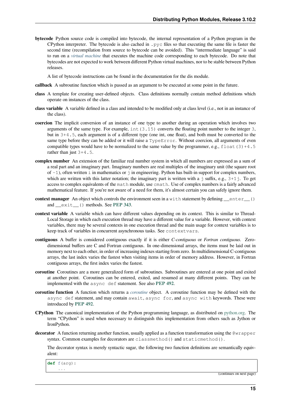<span id="page-18-3"></span>**bytecode** Python source code is compiled into bytecode, the internal representation of a Python program in the CPython interpreter. The bytecode is also cached in  $.pyc$  files so that executing the same file is faster the second time (recompilation from source to bytecode can be avoided). This "intermediate language" is said to run on a *virtual machine* that executes the machine code corresponding to each bytecode. Do note that bytecodes are not expected to work between different Python virtual machines, nor to be stable between Python releases.

<span id="page-18-2"></span>A list of byt[ecode instruction](#page-28-2)s can be found in the documentation for the dis module.

- **callback** A subroutine function which is passed as an argument to be executed at some point in the future.
- **class** A template for creating user-defined objects. Class definitions normally contain method definitions which operate on instances of the class.
- **class variable** A variable defined in a class and intended to be modified only at class level (i.e., not in an instance of the class).
- **coercion** The implicit conversion of an instance of one type to another during an operation which involves two arguments of the same type. For example, int (3.15) converts the floating point number to the integer 3, but in 3+4.5, each argument is of a different type (one int, one float), and both must be converted to the same type before they can be added or it will raise a TypeError. Without coercion, all arguments of even compatible types would have to be normalized to the same value by the programmer, e.g.,  $f$ loat (3)+4.5 rather than just  $3+4$ . 5.
- **complex number** An extension of the familiar real number system in which all numbers are expressed as a sum of a real part and an imaginary part. Imaginary numbers are real multiples of the imaginary unit (the square root of  $-1$ ), often written i in mathematics or  $\dot{\tau}$  in engineering. Python has built-in support for complex numbers, which are written with this latter notation; the imaginary part is written with a j suffix, e.g.,  $3+1$ j. To get access to complex equivalents of the math module, use cmath. Use of complex numbers is a fairly advanced mathematical feature. If you're not aware of a need for them, it's almost certain you can safely ignore them.
- **context manager** An object which controls the environment seen in a with statement by defining \_\_enter\_\_() and \_\_exit\_\_() methods. See **PEP 343**.
- **context variable** A variable which can have different values depending on its context. This is similar to Thread-Local Storage in which each execution thread may have a different value for a variable. However, with context variables, there may be several contexts in one execution thread and the main usage for context variables is to keep track of variables in concurr[ent asynch](https://www.python.org/dev/peps/pep-0343)ronous tasks. See contextvars.
- **contiguous** A buffer is considered contiguous exactly if it is either *C-contiguous* or *Fortran contiguous*. Zerodimensional buffers are C and Fortran contiguous. In one-dimensional arrays, the items must be laid out in memory next to each other, in order of increasing indexes starting from zero. In multidimensional C-contiguous arrays, the last index varies the fastest when visiting items in order of memory address. However, in Fortran contiguous arrays, the first index varies the fastest.
- <span id="page-18-1"></span>**coroutine** Coroutines are a more generalized form of subroutines. Subroutines are entered at one point and exited at another point. Coroutines can be entered, exited, and resumed at many different points. They can be implemented with the async def statement. See also **PEP 492**.
- <span id="page-18-0"></span>**coroutine function** A function which returns a *coroutine* object. A coroutine function may be defined with the async def statement, and may contain await, async for, and async with keywords. These were introduced by **PEP 492**.
- **CPython** The canonical implementation of the Python progr[amming la](https://www.python.org/dev/peps/pep-0492)nguage, as distributed on python.org. The term "CPython" is used when necessaryt[o distingu](#page-18-0)ish this implementation from others such as Jython or IronPython.
- **decorator** A functi[on returnin](https://www.python.org/dev/peps/pep-0492)g another function, usually applied as a function transformation using the [@wrap](https://www.python.org)per syntax. Common examples for decorators are classmethod() and staticmethod().

The decorator syntax is merely syntactic sugar, the following two function definitions are semantically equivalent:

**def** f(arg): ...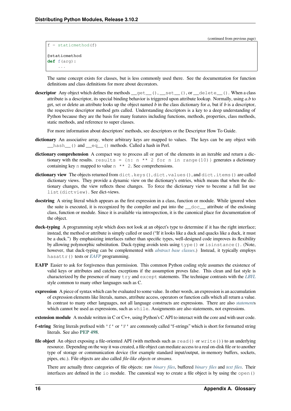```
f =staticmethod(f)
@staticmethod
def f(arg):
    ...
```
The same concept exists for classes, but is less commonly used there. See the documentation for function definitions and class definitions for more about decorators.

descriptor Any object which defines the methods \_get\_(), \_set\_(), or \_delete\_(). When a class attribute is a descriptor, its special binding behavior is triggered upon attribute lookup. Normally, using *a.b* to get, set or delete an attribute looks up the object named *b* in the class dictionary for *a*, but if *b* is a descriptor, the respective descriptor method gets called. Understanding descriptors is a key to a deep understanding of Python because they are the basis for many features including functions, methods, properties, class methods, static methods, and reference to super classes.

For more information about descriptors' methods, see descriptors or the Descriptor How To Guide.

- **dictionary** An associative array, where arbitrary keys are mapped to values. The keys can be any object with \_\_hash\_\_() and \_\_eq\_\_() methods. Called a hash in Perl.
- **dictionary comprehension** A compact way to process all or part of the elements in an iterable and return a dictionary with the results. results =  $\{n: n * * 2 \text{ for } n \text{ in } range(10)\}$  generates a dictionary containing key n mapped to value  $n \times 2$ . See comprehensions.
- dictionary view The objects returned from dict.keys(), dict.values(), and dict.items() are called dictionary views. They provide a dynamic view on the dictionary's entries, which means that when the dictionary changes, the view reflects these changes. To force the dictionary view to become a full list use list(dictview). See dict-views.
- **docstring** A string literal which appears as the first expression in a class, function or module. While ignored when the suite is executed, it is recognized by the compiler and put into the  $\_\text{doc}\_\text{attribute}$  attribute of the enclosing class, function or module. Since it is available via introspection, it is the canonical place for documentation of the object.
- **duck-typing** A programming style which does not look at an object's type to determine if it has the right interface; instead, the method or attribute is simply called or used ("If it looks like a duck and quacks like a duck, it must be a duck.") By emphasizing interfaces rather than specific types, well-designed code improves its flexibility by allowing polymorphic substitution. Duck-typing avoids tests using type() or isinstance(). (Note, however, that duck-typing can be complemented with *abstract base classes*.) Instead, it typically employs hasattr() tests or *EAFP* programming.
- <span id="page-19-0"></span>**EAFP** Easier to ask for forgiveness than permission. This common Python coding style assumes the existence of valid keys or attributes and catches exceptions if the assumption proves false. This clean and fast style is characterized by the presence of many try and except [statements. The tec](#page-16-1)hnique contrasts with the *LBYL* style common to man[y other](#page-19-2) languages such as C.
- <span id="page-19-2"></span>**expression** A piece of syntax which can be evaluated to some value. In other words, an expression is an accumulation of expression elements like literals, names, attribute access, operators or function calls which all return a value. In contrast to many other languages, not all language constructs are expressions. There are also *state[ment](#page-23-0)*s which cannot be used as expressions, such as while. Assignments are also statements, not expressions.

<span id="page-19-3"></span>**extension module** A module written in C or C++, using Python's C API to interact with the core and with user code.

- **f-string** String literals prefixed with 'f' or 'F' are commonly called "f-strings" which is short for form[atted string](#page-27-3) literals. See also **PEP 498**.
- **file object** An object exposing a file-oriented API (with methods such as read() or write()) to an underlying resource. Depending on the way it was created, a file object can mediate access to a real on-disk file or to another type of storage or communication device (for example standard input/output, in-memory buffers, sockets, pipes, etc.). File [objects ar](https://www.python.org/dev/peps/pep-0498)e also called *file-like objects* or *streams*.

<span id="page-19-1"></span>There are actually three categories of file objects: raw *binary files*, buffered *binary files* and *text files*. Their interfaces are defined in the io module. The canonical way to create a file object is by using the open ()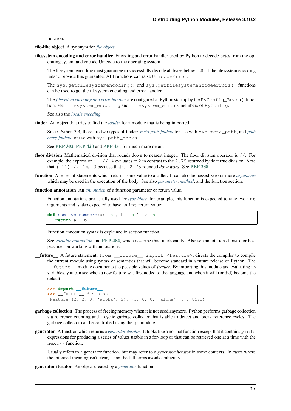function.

#### <span id="page-20-7"></span>**file-like object** A synonym for *file object*.

**filesystem encoding and error handler** Encoding and error handler used by Python to decode bytes from the operating system and encode Unicode to the operating system.

The filesystem encoding [must guara](#page-19-1)ntee to successfully decode all bytes below 128. If the file system encoding fails to provide this guarantee, API functions can raise UnicodeError.

<span id="page-20-2"></span>The sys.getfilesystemencoding() and sys.getfilesystemencodeerrors() functions can be used to get the filesystem encoding and error handler.

The *filesystem encoding and error handler* are configured at Python startup by the PyConfig\_Read() function: see filesystem\_encoding and filesystem\_errors members of PyConfig.

See also the *locale encoding*.

**finder** An [object that tries to find the](#page-20-2) *loader* for a module that is being imported.

Since Python 3.3, there are two types of finder: *meta path finders* for use with sys.meta\_path, and *path entry finders* [for use with](#page-23-1) sys.path\_hooks.

<span id="page-20-4"></span>See **PEP 302**, **PEP 420** and **P[EP 451](#page-23-2)** for much more detail.

- **floor division** Mathematical division that rounds dow[n to nearest integ](#page-23-3)er. The floor division operator is //. [For](#page-25-0) [example, the](#page-25-0) expression 11 // 4 evaluates to 2 in contrast to the 2.75 returned by float true division. Note that  $(-11)$  [// 4](https://www.python.org/dev/peps/pep-0420) is  $-3$  be[cause that](https://www.python.org/dev/peps/pep-0451) is  $-2.75$  rounded *downward*. See PEP 238.
- **function** A series of statements which returns some value to a caller. It can also be passed zero or more *arguments* which may be used in the execution of the body. See also *parameter*, *method*, and the function section.
- **function annotation** An *annotation* of a function parameter or return value.

<span id="page-20-1"></span>Function annotations are usually used for *type hints*: for example, this function is expected to tak[e two](#page-16-2) int arguments and is also expected to have an int return val[ue:](#page-24-0)

<span id="page-20-0"></span>**def** sum\_two\_nu[mbers\(a:](#page-16-3) int, b: int) -> int: **return** a + b

Function annotation syntax is explained in section function.

See *variable annotation* and **PEP 484**, which describe this functionality. Also see annotations-howto for best practices on working with annotations.

**\_\_future\_\_** A future statement, from \_\_future\_\_ import <feature>, directs the compiler to compile the current module using syntax or semantics that will become standard in a future release of Python. The \_\_[future\\_\\_](#page-28-1) module doc[uments the](https://www.python.org/dev/peps/pep-0484) possible values of *feature*. By importing this module and evaluating its variables, you can see when a new feature was first added to the language and when it will (or did) become the default:

```
>>> import future
>>> __future__.division
_Feature((2, 2, 0, 'alpha', 2), (3, 0, 0, 'alpha', 0), 8192)
```
- **garbage collection** The process of freeing memory when it is not used anymore. Python performs garbage collection via reference counting and a cyclic garbage collector that is able to detect and break reference cycles. The garbage collector can be controlled using the gc module.
- **generator** A function which returns a *generator iterator*. It looks like a normal function except that it contains yield expressions for producing a series of values usable in a for-loop or that can be retrieved one at a time with the next() function.

<span id="page-20-6"></span><span id="page-20-5"></span>Usually refers to a generator function, but may refer to a *generator iterator* in some contexts. In cases where the intended meaning isn't clear[, using the full ter](#page-20-3)ms avoids ambiguity.

<span id="page-20-3"></span>**generator iterator** An object created by a *generator* function.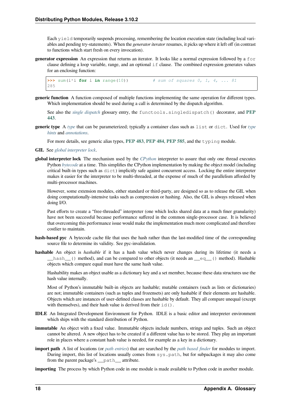<span id="page-21-4"></span>Each yield temporarily suspends processing, remembering the location execution state (including local variables and pending try-statements). When the *generator iterator* resumes, it picks up where it left off (in contrast to functions which start fresh on every invocation).

**generator expression** An expression that returns an iterator. It looks like a normal expression followed by a for clause defining a loop variable, range, and an optional if clause. The combined expression generates values for an enclosing function:

**>>>** sum(i\*i **for** i **in** range(10)) *# sum of squares 0, 1, 4, ... 81* 285

**generic function** A function composed of multiple functions implementing the same operation for different types. Which implementation should be used during a call is determined by the dispatch algorithm.

<span id="page-21-3"></span>See also the *single dispatch* glossary entry, the functools.singledispatch() decorator, and **PEP 443**.

**generic type** A *type* that can be parameterized; typically a container class such as list or dict. Used for *type hints* and *an[notations](#page-27-4)*.

[For](https://www.python.org/dev/peps/pep-0443) more details, see generic alias types, **PEP 483**, **PEP 484**, **PEP 585**, and the typing module.

- **GIL** See *global [inter](#page-27-5)preter lock*.
- **globa[l inte](#page-27-0)rpr[eter lock](#page-16-3)** The mechanism used by the *CPython* interpreter to assure that only one thread executes Python *bytecode* at a time. This simplifie[s the CPyt](https://www.python.org/dev/peps/pep-0483)[hon implem](https://www.python.org/dev/peps/pep-0484)[entation b](https://www.python.org/dev/peps/pep-0585)y making the object model (including critical built-in types such as dict) implicitly safe against concurrent access. Locking the entire interpreter ma[kes it easier for the int](#page-21-0)erpreter to be multi-threaded, at the expense of much of the parallelism afforded by multi-processor machines.

<span id="page-21-0"></span>Howev[er, some e](#page-18-2)xtension modules, either standard or third-party, are designed so as to release the GIL when doing computationally-intensive tasks such as compression or hashing. Also, the GIL is always released when doing I/O.

Past efforts to create a "free-threaded" interpreter (one which locks shared data at a much finer granularity) have not been successful because performance suffered in the common single-processor case. It is believed that overcoming this performance issue would make the implementation much more complicated and therefore costlier to maintain.

- **hash-based pyc** A bytecode cache file that uses the hash rather than the last-modified time of the corresponding source file to determine its validity. See pyc-invalidation.
- **hashable** An object is *hashable* if it has a hash value which never changes during its lifetime (it needs a  $_{\text{hash}}$  () method), and can be compared to other objects (it needs an  $_{\text{seq}}$  () method). Hashable objects which compare equal must have the same hash value.

Hashability makes an object usable as a dictionary key and a set member, because these data structures use the hash value internally.

Most of Python's immutable built-in objects are hashable; mutable containers (such as lists or dictionaries) are not; immutable containers (such as tuples and frozensets) are only hashable if their elements are hashable. Objects which are instances of user-defined classes are hashable by default. They all compare unequal (except with themselves), and their hash value is derived from their  $id()$ .

- **IDLE** An Integrated Development Environment for Python. IDLE is a basic editor and interpreter environment which ships with the standard distribution of Python.
- **immutable** An object with a fixed value. Immutable objects include numbers, strings and tuples. Such an object cannot be altered. A new object has to be created if a different value has to be stored. They play an important role in places where a constant hash value is needed, for example as a key in a dictionary.
- <span id="page-21-1"></span>**import path** A list of locations (or *path entries*) that are searched by the *path based finder* for modules to import. During import, this list of locations usually comes from sys.path, but for subpackages it may also come from the parent package's \_\_path\_\_ attribute.
- <span id="page-21-2"></span>**importing** The process by which P[ython code i](#page-25-1)n one module is made ava[ilable to Python co](#page-25-2)de in another module.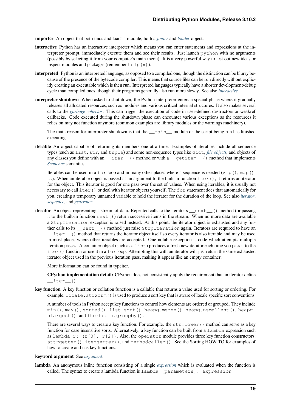<span id="page-22-3"></span>**importer** An object that both finds and loads a module; both a *finder* and *loader* object.

- **interactive** Python has an interactive interpreter which means you can enter statements and expressions at the interpreter prompt, immediately execute them and see their results. Just launch python with no arguments (possibly by selecting it from your computer's main men[u\). It i](#page-20-4)s av[ery pow](#page-23-2)erful way to test out new ideas or inspect modules and packages (remember help $(x)$ ).
- <span id="page-22-0"></span>**interpreted** Python is an interpreted language, as opposed to a compiled one, though the distinction can be blurry because of the presence of the bytecode compiler. This means that source files can be run directly without explicitly creating an executable which is then run. Interpreted languages typically have a shorter development/debug cycle than compiled ones, though their programs generally also run more slowly. See also *interactive*.
- **interpreter shutdown** When asked to shut down, the Python interpreter enters a special phase where it gradually releases all allocated resources, such as modules and various critical internal structures. It also makes several calls to the *garbage collector*. This can trigger the execution of code in user-defined destructors or weakref callbacks. Code executed during the shutdown phase can encounter various exceptions [as the res](#page-22-0)ources it relies on may not function anymore (common examples are library modules or the warnings machinery).

Themain r[eason for interpret](#page-20-5)er shutdown is that the \_\_main\_\_ module or the script being run has finished executing.

**iterable** An object capable of returning its members one at a time. Examples of iterables include all sequence types (such as list, str, and tuple) and some non-sequence types like dict, *file objects*, and objects of any classes you define with an \_\_iter\_\_() method or with a \_\_getitem\_\_() method that implements *Sequence* semantics.

<span id="page-22-2"></span>Iterables can be used in a for loop and in many other places where a sequence is needed ( $z$ ip(), map(), ...). When an iterable object is passed as an argument to the built-in function  $\text{iter}($ )[, it ret](#page-19-1)urns an iterator for the object. This iterator is good for one pass over the set of values. When using iterables, it is usually not [necessary](#page-26-0) to call iter() or deal with iterator objects yourself. The for statement does that automatically for you, creating a temporary unnamed variable to hold the iterator for the duration of the loop. See also *iterator*, *sequence*, and *generator*.

<span id="page-22-1"></span>**iterator** An object representing a stream of data. Repeated calls to the iterator's \_next\_() method (or passing it to the built-in function  $next()$  return successive items in the stream. When no more data are available a StopIteration exception is raised instead. At this point, the iterator object is exhausted and [any fur](#page-22-1)[ther calls](#page-26-0) to its [\\_\\_next](#page-20-6)\_\_() method just raise StopIteration again. Iterators are required to have an \_\_iter\_\_() method that returns the iterator object itself so every iterator is also iterable and may be used in most places where other iterables are accepted. One notable exception is code which attempts multiple iteration passes. A container object (such as a list) produces a fresh new iterator each time you pass it to the iter() function or use it in a for loop. Attempting this with an iterator will just return the same exhausted iterator object used in the previous iteration pass, making it appear like an empty container.

More information can be found in typeiter.

**CPython implementation detail:** CPython does not consistently apply the requirement that an iterator define iter ().

**key function** A key function or collation function is a callable that returns a value used for sorting or ordering. For example,  $locale.strxfrm()$  is used to produce a sort key that is aware of locale specific sort conventions.

A number of tools in Python accept key functions to control how elements are ordered or grouped. They include min(), max(), sorted(), list.sort(), heapq.merge(), heapq.nsmallest(), heapq. nlargest(), and itertools.groupby().

There are several ways to create a key function. For example, the  $str. lower$  () method can serve as a key function for case insensitive sorts. Alternatively, a key function can be built from a lambda expression such as lambda r:  $(r[0], r[2])$ . Also, the operator module provides three key function constructors: attrgetter(), itemgetter(), and methodcaller(). See the Sorting HOW TO for examples of how to create and use key functions.

#### **keyword argument** See *argument*.

**lambda** An anonymous inline function consisting of a single *expression* which is evaluated when the function is called. The syntax to create a lambda function is lambda [parameters]: expression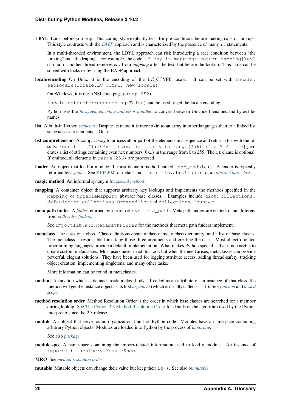<span id="page-23-5"></span>**LBYL** Look before you leap. This coding style explicitly tests for pre-conditions before making calls or lookups. This style contrasts with the *EAFP* approach and is characterized by the presence of many if statements.

<span id="page-23-0"></span>In a multi-threaded environment, the LBYL approach can risk introducing a race condition between "the looking" and "the leaping". For example, the code, if key in mapping: return mapping [key] can fail if another thread removes *key* from *mapping* after the test, but before the lookup. This issue can be solved with locks or by usin[g the E](#page-19-2)AFP approach.

**locale encoding** On Unix, it is the encoding of the LC CTYPE locale. It can be set with locale. setlocale(locale.LC\_CTYPE, new\_locale).

On Windows, it is the ANSI code page (ex: cp1252).

<span id="page-23-1"></span>locale.getpreferredencoding(False) can be used to get the locale encoding.

Python uses the *filesystem encoding and error handler* to convert between Unicode filenames and bytes filenames.

- **list** A built-in Python *sequence*. Despite its name it is more akin to an array in other languages than to a linked list sinceaccess to elements is  $O(1)$ .
- **list comprehension** A compact way to process all or part of the elements in a sequence and return a list with the results. result =  $['{\cdot}; #04x]'$ . format(x) for x in range(256) if x  $\frac{1}{6}$  2 == 0] generates a list of st[rings cont](#page-26-0)aining even hex numbers  $(0x.)$  in the range from 0 to 255. The  $\pm$  f clause is optional. If omitted, all elements in range(256) are processed.
- **loader** An object that loads a module. It must define a method named load\_module(). A loader is typically returned by a *finder*. See **PEP 302** for details and importlib.abc.Loader for an *abstract base class*.
- **magic method** An informal synonym for *special method*.
- <span id="page-23-2"></span>**mapping** A container object that supports arbitrary key lookups and implements the methods specified in the Mapping or [Mut](#page-20-4)abl[eMappin](https://www.python.org/dev/peps/pep-0302)g abstract base classes. Examples include dict, [collections](#page-16-1). defaultdict, collections[.OrderedDic](#page-27-6)t and collections.Counter.
- **meta path finder** A *finder* returned by a search of sys.meta\_path. Meta path finders are related to, but different from *path entry finders*.

<span id="page-23-3"></span>See importlib.abc.MetaPathFinder for the methods that meta path finders implement.

**metaclass** The class [of a c](#page-20-4)lass. Class definitions create a class name, a class dictionary, and a list of base classes. The [metaclass is respo](#page-25-0)nsible for taking those three arguments and creating the class. Most object oriented programming languages provide a default implementation. What makes Python special is that it is possible to create custom metaclasses. Most users never need this tool, but when the need arises, metaclasses can provide powerful, elegant solutions. They have been used for logging attribute access, adding thread-safety, tracking object creation, implementing singletons, and many other tasks.

More information can be found in metaclasses.

- **method** A function which is defined inside a class body. If called as an attribute of an instance of that class, the method will get the instance object as its first *argument* (which is usually called self). See *function* and *nested scope*.
- **method resolution order** Method Resolution Order is the order in which base classes are searched for a member during lookup. See The Python 2.3 Method [Resolutio](#page-16-2)n Order for details of the algorithm [used by t](#page-20-1)he [Python](#page-24-1) [interp](#page-24-1)reter since the 2.3 release.
- **module** An object that serves as an organizational unit of Python code. Modules have a namespace containing arbitrary Python ob[jects. Modules are loaded into Python by t](https://www.python.org/download/releases/2.3/mro/)he process of *importing*.

<span id="page-23-4"></span>See also *package*.

**module spec** A namespace containing the import-related information used to load a module. An instance of importlib.machinery.ModuleSpec.

**MRO** See *me[thod reso](#page-24-2)lution order*.

**mutable** Mutable objects can change their value but keep their id(). See also *immutable*.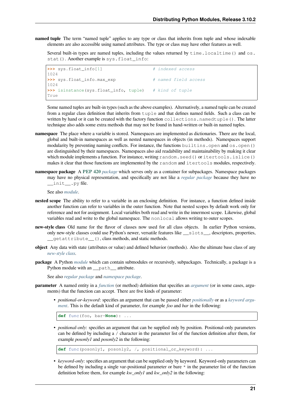<span id="page-24-5"></span>**named tuple** The term "named tuple" applies to any type or class that inherits from tuple and whose indexable elements are also accessible using named attributes. The type or class may have other features as well.

Several built-in types are named tuples, including the values returned by time.localtime() and os. stat(). Another example is sys.float\_info:

| # indexed access                                                                      |
|---------------------------------------------------------------------------------------|
|                                                                                       |
| # named field access                                                                  |
|                                                                                       |
| $\rightarrow\rightarrow\rightarrow$ isinstance(sys.float_info, tuple) # kind of tuple |
|                                                                                       |
|                                                                                       |

Some named tuples are built-in types (such as the above examples). Alternatively, a named tuple can be created from a regular class definition that inherits from tuple and that defines named fields. Such a class can be written by hand or it can be created with the factory function collections.namedtuple(). The latter technique also adds some extra methods that may not be found in hand-written or built-in named tuples.

- **namespace** The place where a variable is stored. Namespaces are implemented as dictionaries. There are the local, global and built-in namespaces as well as nested namespaces in objects (in methods). Namespaces support modularity by preventing naming conflicts. For instance, the functions builtins.open and os.open() are distinguished by their namespaces. Namespaces also aid readability and maintainability by making it clear which module implements a function. For instance, writing random.seed() or itertools.islice() makes it clear that those functions are implemented by the random and itertools modules, respectively.
- **namespace package** A **PEP 420** *package* which serves only as a container for subpackages. Namespace packages may have no physical representation, and specifically are not like a *regular package* because they have no \_\_init\_\_.py file.

<span id="page-24-4"></span>See also *module*.

- **nested scope** The abilit[y to refer](https://www.python.org/dev/peps/pep-0420) [to a var](#page-24-2)iable in an enclosing definition. [For instance, a f](#page-26-1)unction defined inside another function can refer to variables in the outer function. Note that nested scopes by default work only for reference and not for assignment. Local variables both read and write in the innermost scope. Likewise, global variable[s read an](#page-23-4)d write to the global namespace. The nonlocal allows writing to outer scopes.
- <span id="page-24-1"></span>**new-style class** Old name for the flavor of classes now used for all class objects. In earlier Python versions, only new-style classes could use Python's newer, versatile features like \_\_slots\_\_, descriptors, properties, \_\_getattribute\_\_(), class methods, and static methods.
- <span id="page-24-3"></span>**object** Any data with state (attributes or value) and defined behavior (methods). Also the ultimate base class of any *new-style class*.
- **package** A Python *module* which can contain submodules or recursively, subpackages. Technically, a package is a Python module with an \_\_path\_\_ attribute.

<span id="page-24-2"></span>[See also](#page-24-3) *regular package* and *namespace package*.

- **parameter** A nam[ed entity](#page-23-4) in a *function* (or method) definition that specifies an *argument* (or in some cases, arguments) that the function can accept. There are five kinds of parameter:
	- *po[sitional-or-keywo](#page-26-1)rd*: [specifies an argumen](#page-24-4)t that can be passed either *positionally* or as a *keyword argument*. This is the def[ault kind](#page-20-1) of parameter, for example *foo* and *bar* [in the follo](#page-16-2)wing:

<span id="page-24-0"></span>**def** func(foo, bar=**None**): ...

• *[positi](#page-16-2)onal-only*: specifies an argument that can be supplied only by po[sition. Posit](#page-16-2)ional-o[nly parameters](#page-16-2) can be defined by including a / character in the parameter list of the function definition after them, for example *posonly1* and *posonly2* in the following:

**def** func(posonly1, posonly2, /, positional\_or\_keyword): ...

• *keyword-only*: specifies an argument that can be supplied only by keyword. Keyword-only parameters can be defined by including a single var-positional parameter or bare  $*$  in the parameter list of the function definition before them, for example *kw\_only1* and *kw\_only2* in the following: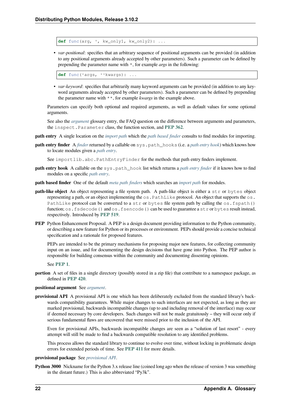```
def func(arg, *, kw_only1, kw_only2): ...
```
<span id="page-25-4"></span>• *var-positional*: specifies that an arbitrary sequence of positional arguments can be provided (in addition to any positional arguments already accepted by other parameters). Such a parameter can be defined by prepending the parameter name with \*, for example *args* in the following:

```
def func(*args, **kwargs): ...
```
• *var-keyword*: specifies that arbitrarily many keyword arguments can be provided (in addition to any keyword arguments already accepted by other parameters). Such a parameter can be defined by prepending the parameter name with \*\*, for example *kwargs* in the example above.

Parameters can specify both optional and required arguments, as well as default values for some optional arguments.

See also the *argument* glossary entry, the FAQ question on the difference between arguments and parameters, the inspect.Parameter class, the function section, and **PEP 362**.

- **path entry** A single location on the *import path* which the *path based finder* consults to find modules for importing.
- **path entry [finder](#page-16-2)** A *finder* returned by a callable on sys.path\_hooks (i.e. a *path entry hook*) which knows how to locate modules given a *path entry*.

<span id="page-25-1"></span><span id="page-25-0"></span>See importlib.abc.Pa[thEntryFi](#page-21-2)nder for [the methods that](#page-25-2) path entry finders implement.

- **path entry hook** A [callable](#page-20-4) on the sys.path\_hook list which returns a *path [entry finder](#page-25-3)* if it knows how to find modules on a specific *pat[h entry](#page-25-1)*.
- **path based finder** One of the default *meta path finders* which searches an *import path* for modules.
- <span id="page-25-3"></span><span id="page-25-2"></span>**path-likeobject** An object representing a file system path. A path-like o[bject is either a](#page-25-0) str or bytes object representing a path, o[r an object](#page-25-1) implementing the  $\circ s$ . PathLike protocol. An object that supports the  $\circ s$ . PathLike protocol can be converted to a str or bytes file system path by calling the  $\circ s$ . fspath() function;  $\circ s$ . fsdecode() and  $\circ s$ . fsencode() can be used to [guarantee a](#page-21-2) str or bytes result instead, respectively. Introduced by **PEP 519**.
- **PEP** Python Enhancement Proposal. A PEP is a design document providing information to the Python community, or describing a new feature for Python or its processes or environment. PEPs should provide a concise technical specification and a rational[e for propo](https://www.python.org/dev/peps/pep-0519)sed features.

PEPs are intended to be the primary mechanisms for proposing major new features, for collecting community input on an issue, and for documenting the design decisions that have gone into Python. The PEP author is responsible for building consensus within the community and documenting dissenting opinions.

See **PEP 1**.

**portion** A set of files in a single directory (possibly stored in a zip file) that contribute to a namespace package, as defined in **PEP 420**.

#### **positional [argum](https://www.python.org/dev/peps/pep-0001)ent** See *argument*.

**provisional API** A provisional API is one which has been deliberately excluded from the standard library's backwards co[mpatibility](https://www.python.org/dev/peps/pep-0420) guarantees. While major changes to such interfaces are not expected, as long as they are marked provisional, backwards incompatible changes (up to and including removal of the interface) may occur if deemed necessary [by core d](#page-16-2)evelopers. Such changes will not be made gratuitously – they will occur only if serious fundamental flaws are uncovered that were missed prior to the inclusion of the API.

Even for provisional APIs, backwards incompatible changes are seen as a "solution of last resort" - every attempt will still be made to find a backwards compatible resolution to any identified problems.

This process allows the standard library to continue to evolve over time, without locking in problematic design errors for extended periods of time. See **PEP 411** for more details.

#### **provisional package** See *provisional API*.

**Python 3000** Nickname for the Python 3.x release line (coined long ago when the release of version 3 was something in the distant future.) This is also abbrev[iated "Py3](https://www.python.org/dev/peps/pep-0411)k".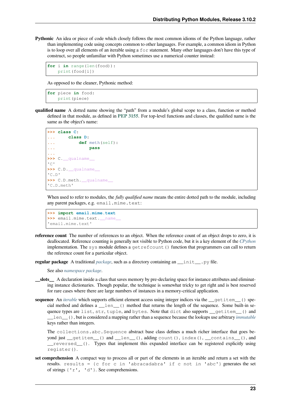<span id="page-26-2"></span>**Pythonic** An idea or piece of code which closely follows the most common idioms of the Python language, rather than implementing code using concepts common to other languages. For example, a common idiom in Python is to loop over all elements of an iterable using a  $f \circ r$  statement. Many other languages don't have this type of construct, so people unfamiliar with Python sometimes use a numerical counter instead:

```
for i in range(len(food)):
    print(food[i])
```
As opposed to the cleaner, Pythonic method:

```
for piece in food:
    print(piece)
```
**qualified name** A dotted name showing the "path" from a module's global scope to a class, function or method defined in that module, as defined in **PEP 3155**. For top-level functions and classes, the qualified name is the same as the object's name:

```
>>> class C:
... class D:
... def meth(self):
... pass
...
>>> C.__qualname__
C<sub>1</sub>>>> C.D.__qualname__
'C.D'
>>> C.D.meth.__qualname__
'C.D.meth'
```
When used to refer to modules, the *fully qualified name* means the entire dotted path to the module, including any parent packages, e.g. email.mime.text:

```
>>> import email.mime.text
>>> email.mime.text.__name__
'email.mime.text'
```
- **reference count** The number of references to an object. When the reference count of an object drops to zero, it is deallocated. Reference counting is generally not visible to Python code, but it is a key element of the *CPython* implementation. The sys module defines a  $q$ etrefcount() function that programmers can call to return the reference count for a particular object.
- **regular package** A traditional *package*, such as a directory containing an *\_\_init\_\_.py* file.

<span id="page-26-1"></span>See also *namespace package*.

- **\_\_slots\_\_** A declaration inside a class that saves memory by pre-declaring space for instance attributes and eliminating instance dictionaries. [Though](#page-24-2) popular, the technique is somewhat tricky to get right and is best reserved for rare [cases where there ar](#page-24-4)e large numbers of instances in a memory-critical application.
- **sequence** An *iterable* which supports efficient element access using integer indices via the \_\_getitem\_\_() special method and defines a \_\_len\_\_() method that returns the length of the sequence. Some built-in sequence types are list, str, tuple, and bytes. Note that dict also supports \_\_getitem\_\_() and \_\_len\_\_(), but is considered a mapping rather than a sequence because the lookups use arbitrary *immutable* keys rat[her than](#page-22-2) integers.

<span id="page-26-0"></span>The collections.abc.Sequence abstract base class defines a much richer interface that goes beyond just \_\_getitem\_() and \_\_len\_(), adding count(), index(), \_\_contains\_(), and \_\_reversed\_\_(). Types that implement this expanded interface can be registered expli[citly using](#page-21-1) register().

**set comprehension** A compact way to process all or part of the elements in an iterable and return a set with the results. results =  ${c$  for c in 'abracadabra' if c not in 'abc'} generates the set of strings {'r', 'd'}. See comprehensions.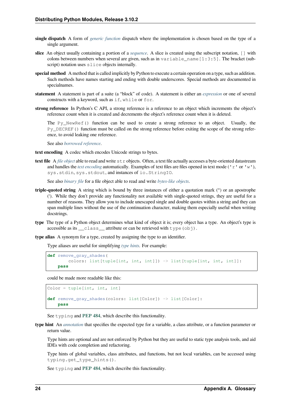- <span id="page-27-8"></span>**single dispatch** A form of *generic function* dispatch where the implementation is chosen based on the type of a single argument.
- <span id="page-27-4"></span>**slice** An object usually containing a portion of a *sequence*. A slice is created using the subscript notation, [] with colons between numbers when several are given, such as in  $variable_name[1:3:5]$ . The bracket (subscript) notation uses slice [objects in](#page-21-3)ternally.
- **special method** A method that is called implicitly by Python to execute a certain operation on a type, such as addition. Such methods have names starting and end[ing with](#page-26-0) double underscores. Special methods are documented in specialnames.
- <span id="page-27-6"></span>**statement** A statement is part of a suite (a "block" of code). A statement is either an *expression* or one of several constructs with a keyword, such as if, while or for.
- **strong reference** In Python's C API, a strong reference is a reference to an object which increments the object's reference count when it is created and decrements the object's reference count w[hen it is del](#page-19-3)eted.

<span id="page-27-3"></span><span id="page-27-2"></span>The Py\_NewRef() function can be used to create a strong reference to an object. Usually, the Py\_DECREF() function must be called on the strong reference before exiting the scope of the strong reference, to avoid leaking one reference.

See also *borrowed reference*.

**text encoding** A codec which encodes Unicode strings to bytes.

**text file** A *file object* able to read and write str objects. Often, a text file actually accesses a byte-oriented datastream and handles the *[text encoding](#page-17-5)* automatically. Examples of text files are files opened in text mode ( $'r'$  or  $'w'$ ), sys.stdin, sys.stdout, and instances of io.StringIO.

<span id="page-27-7"></span><span id="page-27-1"></span>See also *[binary](#page-19-1) file* for a file object able to read and write *bytes-like objects*.

- **triple-quoted string** [A string whi](#page-27-7)ch is bound by three instances of either a quotation mark (") or an apostrophe ('). While they don't provide any functionality not available with single-quoted strings, they are useful for a number of reasons. They allow you to include unescaped single and double quotes within a string and they can span mu[ltiple lines](#page-17-6) without the use of the continuation ch[aracter, making t](#page-17-4)hem especially useful when writing docstrings.
- **type** The type of a Python object determines what kind of object it is; every object has a type. An object's type is accessible as its \_\_class\_\_ attribute or can be retrieved with type (obj).

**type alias** A synonym for a type, created by assigning the type to an identifier.

<span id="page-27-5"></span>Type aliases are useful for simplifying *type hints*. For example:

```
def remove_gray_shades(
       colors: list[tuple[int, int, int]]) -> list[tuple[int, int, int]]:
   pass
```
could be made more readable like this:

```
Color = tuple(int, int, int]def remove_gray_shades(colors: list[Color]) -> list[Color]:
   pass
```
See typing and **PEP 484**, which describe this functionality.

**type hint** An *annotation* that specifies the expected type for a variable, a class attribute, or a function parameter or return value.

Type hints are opt[ional and](https://www.python.org/dev/peps/pep-0484) are not enforced by Python but they are useful to static type analysis tools, and aid IDEs w[ith code com](#page-16-3)pletion and refactoring.

<span id="page-27-0"></span>Type hints of global variables, class attributes, and functions, but not local variables, can be accessed using typing.get\_type\_hints().

See typing and **PEP 484**, which describe this functionality.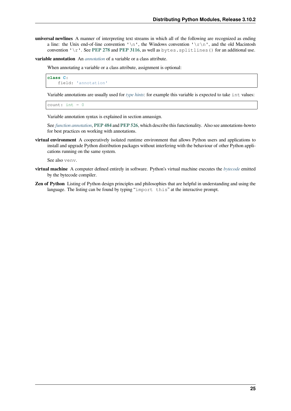<span id="page-28-3"></span>**universal newlines** A manner of interpreting text streams in which all of the following are recognized as ending a line: the Unix end-of-line convention '\n', the Windows convention '\n\n', and the old Macintosh convention '\r'. See **PEP 278** and **PEP 3116**, as well as bytes.splitlines() for an additional use.

**variable annotation** An *annotation* of a variable or a class attribute.

When annotating a variable or a class attribute, assignment is optional:

```
class C:
    field: 'annotation'
```
Variable annotations are usually used for *type hints*: for example this variable is expected to take int values:

count:  $int = 0$ 

Variable annotation syntax is explained i[n section a](#page-27-0)nnassign.

See *function annotation*, **PEP 484** and **PEP 526**, which describe this functionality. Also see annotations-howto for best practices on working with annotations.

**virtual environment** A cooperatively isolated runtime environment that allows Python users and applications to install and upgrade Python distributio[n packages](https://www.python.org/dev/peps/pep-0526) without interfering with the behaviour of other Python applicati[ons running on the s](#page-20-0)[ame system](https://www.python.org/dev/peps/pep-0484).

<span id="page-28-0"></span>See also venv.

- **virtual machine** A computer defined entirely in software. Python's virtual machine executes the *bytecode* emitted by the bytecode compiler.
- <span id="page-28-2"></span>**Zen of Python** Listing of Python design principles and philosophies that are helpful in understanding and using the language. The listing can be found by typing "import this" at the interactive prompt.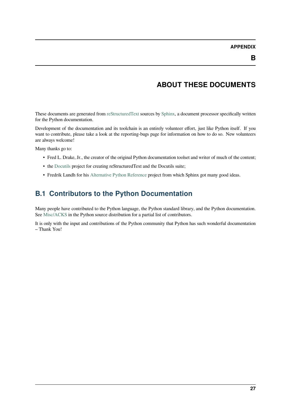**B**

### **ABOUT THESE DOCUMENTS**

<span id="page-30-0"></span>These documents are generated from reStructuredText sources by Sphinx, a document processor specifically written for the Python documentation.

Development of the documentation and its toolchain is an entirely volunteer effort, just like Python itself. If you want to contribute, please take a loo[k at the reporting-](http://docutils.sourceforge.net/rst.html)bugs page [for info](http://sphinx-doc.org/)rmation on how to do so. New volunteers are always welcome!

Many thanks go to:

- Fred L. Drake, Jr., the creator of the original Python documentation toolset and writer of much of the content;
- the Docutils project for creating reStructuredText and the Docutils suite;
- Fredrik Lundh for his Alternative Python Reference project from which Sphinx got many good ideas.

### **B.1 C[ontrib](http://docutils.sourceforge.net/)utor[s to the Python Do](http://effbot.org/zone/pyref.htm)cumentation**

<span id="page-30-1"></span>Many people have contributed to the Python language, the Python standard library, and the Python documentation. See Misc/ACKS in the Python source distribution for a partial list of contributors.

It is only with the input and contributions of the Python community that Python has such wonderful documentation – Thank You!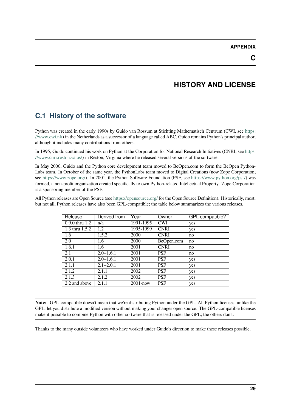**C**

### **HISTORY AND LICENSE**

### <span id="page-32-0"></span>**C.1 History of the software**

<span id="page-32-1"></span>Python was created in the early 1990s by Guido van Rossum at Stichting Mathematisch Centrum (CWI, see https: //www.cwi.nl/) in the Netherlands as a successor of a language called ABC. Guido remains Python's principal author, although it includes many contributions from others.

In 1995, Guido continued his work on Python at the Corporation for National Research Initiatives (CNRI, see [https:](https://www.cwi.nl/) [//www.cnri.res](https://www.cwi.nl/)ton.va.us/) in Reston, Virginia where he released several versions of the software.

In May 2000, Guido and the Python core development team moved to BeOpen.com to form the BeOpen Python-Labs team. In October of the same year, the PythonLabs team moved to Digital Creations (now Zope Corporation; see https://www.zope.org/). In 2001, the Python Software Foundation (PSF, see https://www.python.org/psf[/\) was](https://www.cnri.reston.va.us/) [formed, a non-profit orga](https://www.cnri.reston.va.us/)nization created specifically to own Python-related Intellectual Property. Zope Corporation is a sponsoring member of the PSF.

All Python releases are Open Source (see https://opensource.org/ for the Open Source Definition). Historically, most, but [not all, Python releases](https://www.zope.org/) have also been GPL-compatible; the table below sum[marizes the various releases.](https://www.python.org/psf/)

| Release            | Derived from  | Year         | Owner       | GPL compatible? |
|--------------------|---------------|--------------|-------------|-----------------|
| $0.9.0$ thru $1.2$ | n/a           | 1991-1995    | <b>CWI</b>  | yes             |
| 1.3 thru 1.5.2     | 1.2           | 1995-1999    | <b>CNRI</b> | yes             |
| 1.6                | 1.5.2         | 2000         | <b>CNRI</b> | no              |
| 2.0                | 1.6           | 2000         | BeOpen.com  | no              |
| 1.6.1              | 1.6           | 2001         | <b>CNRI</b> | no              |
| 2.1                | $2.0 + 1.6.1$ | 2001         | <b>PSF</b>  | no              |
| 2.0.1              | $2.0 + 1.6.1$ | 2001         | <b>PSF</b>  | yes             |
| 2.1.1              | $2.1 + 2.0.1$ | 2001         | <b>PSF</b>  | yes             |
| 2.1.2              | 2.1.1         | 2002         | <b>PSF</b>  | yes             |
| 2.1.3              | 2.1.2         | 2002         | <b>PSF</b>  | yes             |
| 2.2 and above      | 2.1.1         | $2001 - now$ | <b>PSF</b>  | yes             |

**Note:** GPL-compatible doesn't mean that we're distributing Python under the GPL. All Python licenses, unlike the GPL, let you distribute a modified version without making your changes open source. The GPL-compatible licenses make it possible to combine Python with other software that is released under the GPL; the others don't.

Thanks to the many outside volunteers who have worked under Guido's direction to make these releases possible.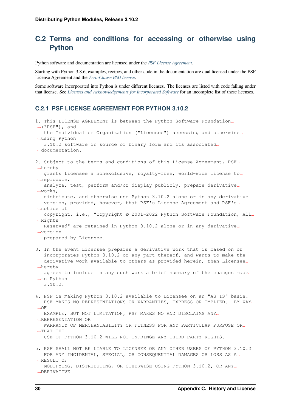### **C.2 Terms and conditions for accessing or otherwise using Python**

<span id="page-33-0"></span>Python software and documentation are licensed under the *PSF License Agreement*.

Starting with Python 3.8.6, examples, recipes, and other code in the documentation are dual licensed under the PSF License Agreement and the *Zero-Clause BSD license*.

Some software incorporated into Python is under different [licenses. The licenses](#page-33-1) are listed with code falling under that license. See *Licenses and Acknowledgements for Incorporated Software* for an incomplete list of these licenses.

#### **C.2.1 PSF LICENSE AGREEMENT FOR PYTHON 3.10.2**

<span id="page-33-1"></span>1. This LIC[ENSE AGREEMENT is between the Python So](#page-37-0)ftware Foundation␣ *,→*("PSF"), and the Individual or Organization ("Licensee") accessing and otherwise␣ *,→*using Python 3.10.2 software in source or binary form and its associated␣ *,→*documentation. 2. Subject to the terms and conditions of this License Agreement, PSF␣ *,→*hereby grants Licensee a nonexclusive, royalty-free, world-wide license to␣ *,→*reproduce, analyze, test, perform and/or display publicly, prepare derivative. *,→*works, distribute, and otherwise use Python 3.10.2 alone or in any derivative version, provided, however, that PSF's License Agreement and PSF's\_ *,→*notice of copyright, i.e., "Copyright © 2001-2022 Python Software Foundation; All\_ *,→*Rights Reserved" are retained in Python 3.10.2 alone or in any derivative␣ *,→*version prepared by Licensee. 3. In the event Licensee prepares a derivative work that is based on or incorporates Python 3.10.2 or any part thereof, and wants to make the derivative work available to others as provided herein, then Licensee␣ *,→*hereby agrees to include in any such work a brief summary of the changes made␣ *,→*to Python 3.10.2. 4. PSF is making Python 3.10.2 available to Licensee on an "AS IS" basis. PSF MAKES NO REPRESENTATIONS OR WARRANTIES, EXPRESS OR IMPLIED. BY WAY. *,→*OF EXAMPLE, BUT NOT LIMITATION, PSF MAKES NO AND DISCLAIMS ANY␣ *,→*REPRESENTATION OR WARRANTY OF MERCHANTABILITY OR FITNESS FOR ANY PARTICULAR PURPOSE OR␣ *,→*THAT THE USE OF PYTHON 3.10.2 WILL NOT INFRINGE ANY THIRD PARTY RIGHTS. 5. PSF SHALL NOT BE LIABLE TO LICENSEE OR ANY OTHER USERS OF PYTHON 3.10.2 FOR ANY INCIDENTAL, SPECIAL, OR CONSEQUENTIAL DAMAGES OR LOSS AS A␣ *,→*RESULT OF MODIFYING, DISTRIBUTING, OR OTHERWISE USING PYTHON 3.10.2, OR ANY␣

*,→*DERIVATIVE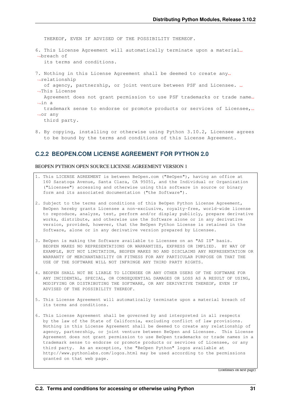THEREOF, EVEN IF ADVISED OF THE POSSIBILITY THEREOF.

6. This License Agreement will automatically terminate upon a material␣ *,→*breach of its terms and conditions. 7. Nothing in this License Agreement shall be deemed to create any␣ *,→*relationship of agency, partnership, or joint venture between PSF and Licensee. ␣ *,→*This License Agreement does not grant permission to use PSF trademarks or trade name␣ *,→*in a trademark sense to endorse or promote products or services of Licensee, \_ *,→*or any third party.

8. By copying, installing or otherwise using Python 3.10.2, Licensee agrees to be bound by the terms and conditions of this License Agreement.

#### <span id="page-34-0"></span>**C.2.2 BEOPEN.COM LICENSE AGREEMENT FOR PYTHON 2.0**

#### BEOPEN PYTHON OPEN SOURCE LICENSE AGREEMENT VERSION 1

- 1. This LICENSE AGREEMENT is between BeOpen.com ("BeOpen"), having an office at 160 Saratoga Avenue, Santa Clara, CA 95051, and the Individual or Organization ("Licensee") accessing and otherwise using this software in source or binary form and its associated documentation ("the Software").
- 2. Subject to the terms and conditions of this BeOpen Python License Agreement, BeOpen hereby grants Licensee a non-exclusive, royalty-free, world-wide license to reproduce, analyze, test, perform and/or display publicly, prepare derivative works, distribute, and otherwise use the Software alone or in any derivative version, provided, however, that the BeOpen Python License is retained in the Software, alone or in any derivative version prepared by Licensee.
- 3. BeOpen is making the Software available to Licensee on an "AS IS" basis. BEOPEN MAKES NO REPRESENTATIONS OR WARRANTIES, EXPRESS OR IMPLIED. BY WAY OF EXAMPLE, BUT NOT LIMITATION, BEOPEN MAKES NO AND DISCLAIMS ANY REPRESENTATION OR WARRANTY OF MERCHANTABILITY OR FITNESS FOR ANY PARTICULAR PURPOSE OR THAT THE USE OF THE SOFTWARE WILL NOT INFRINGE ANY THIRD PARTY RIGHTS.
- 4. BEOPEN SHALL NOT BE LIABLE TO LICENSEE OR ANY OTHER USERS OF THE SOFTWARE FOR ANY INCIDENTAL, SPECIAL, OR CONSEQUENTIAL DAMAGES OR LOSS AS A RESULT OF USING, MODIFYING OR DISTRIBUTING THE SOFTWARE, OR ANY DERIVATIVE THEREOF, EVEN IF ADVISED OF THE POSSIBILITY THEREOF.
- 5. This License Agreement will automatically terminate upon a material breach of its terms and conditions.
- 6. This License Agreement shall be governed by and interpreted in all respects by the law of the State of California, excluding conflict of law provisions. Nothing in this License Agreement shall be deemed to create any relationship of agency, partnership, or joint venture between BeOpen and Licensee. This License Agreement does not grant permission to use BeOpen trademarks or trade names in a trademark sense to endorse or promote products or services of Licensee, or any third party. As an exception, the "BeOpen Python" logos available at http://www.pythonlabs.com/logos.html may be used according to the permissions granted on that web page.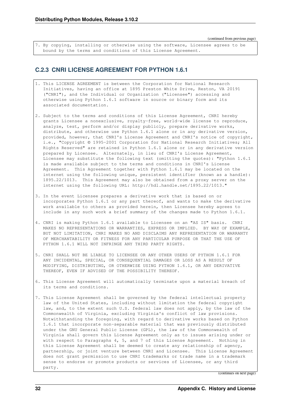7. By copying, installing or otherwise using the software, Licensee agrees to be bound by the terms and conditions of this License Agreement.

### <span id="page-35-0"></span>**C.2.3 CNRI LICENSE AGREEMENT FOR PYTHON 1.6.1**

- 1. This LICENSE AGREEMENT is between the Corporation for National Research Initiatives, having an office at 1895 Preston White Drive, Reston, VA 20191 ("CNRI"), and the Individual or Organization ("Licensee") accessing and otherwise using Python 1.6.1 software in source or binary form and its associated documentation.
- 2. Subject to the terms and conditions of this License Agreement, CNRI hereby grants Licensee a nonexclusive, royalty-free, world-wide license to reproduce, analyze, test, perform and/or display publicly, prepare derivative works, distribute, and otherwise use Python 1.6.1 alone or in any derivative version, provided, however, that CNRI's License Agreement and CNRI's notice of copyright, i.e., "Copyright © 1995-2001 Corporation for National Research Initiatives; All Rights Reserved" are retained in Python 1.6.1 alone or in any derivative version prepared by Licensee. Alternately, in lieu of CNRI's License Agreement, Licensee may substitute the following text (omitting the quotes): "Python 1.6.1 is made available subject to the terms and conditions in CNRI's License Agreement. This Agreement together with Python 1.6.1 may be located on the internet using the following unique, persistent identifier (known as a handle): 1895.22/1013. This Agreement may also be obtained from a proxy server on the internet using the following URL: http://hdl.handle.net/1895.22/1013."
- 3. In the event Licensee prepares a derivative work that is based on or incorporates Python 1.6.1 or any part thereof, and wants to make the derivative work available to others as provided herein, then Licensee hereby agrees to include in any such work a brief summary of the changes made to Python 1.6.1.
- 4. CNRI is making Python 1.6.1 available to Licensee on an "AS IS" basis. CNRI MAKES NO REPRESENTATIONS OR WARRANTIES, EXPRESS OR IMPLIED. BY WAY OF EXAMPLE, BUT NOT LIMITATION, CNRI MAKES NO AND DISCLAIMS ANY REPRESENTATION OR WARRANTY OF MERCHANTABILITY OR FITNESS FOR ANY PARTICULAR PURPOSE OR THAT THE USE OF PYTHON 1.6.1 WILL NOT INFRINGE ANY THIRD PARTY RIGHTS.
- 5. CNRI SHALL NOT BE LIABLE TO LICENSEE OR ANY OTHER USERS OF PYTHON 1.6.1 FOR ANY INCIDENTAL, SPECIAL, OR CONSEQUENTIAL DAMAGES OR LOSS AS A RESULT OF MODIFYING, DISTRIBUTING, OR OTHERWISE USING PYTHON 1.6.1, OR ANY DERIVATIVE THEREOF, EVEN IF ADVISED OF THE POSSIBILITY THEREOF.
- 6. This License Agreement will automatically terminate upon a material breach of its terms and conditions.
- 7. This License Agreement shall be governed by the federal intellectual property law of the United States, including without limitation the federal copyright law, and, to the extent such U.S. federal law does not apply, by the law of the Commonwealth of Virginia, excluding Virginia's conflict of law provisions. Notwithstanding the foregoing, with regard to derivative works based on Python 1.6.1 that incorporate non-separable material that was previously distributed under the GNU General Public License (GPL), the law of the Commonwealth of Virginia shall govern this License Agreement only as to issues arising under or with respect to Paragraphs 4, 5, and 7 of this License Agreement. Nothing in this License Agreement shall be deemed to create any relationship of agency, partnership, or joint venture between CNRI and Licensee. This License Agreement does not grant permission to use CNRI trademarks or trade name in a trademark sense to endorse or promote products or services of Licensee, or any third party.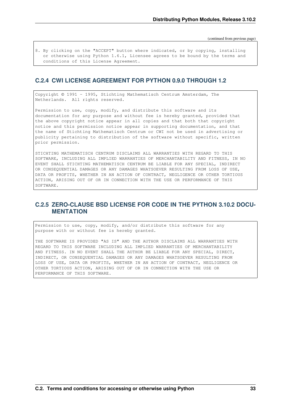8. By clicking on the "ACCEPT" button where indicated, or by copying, installing or otherwise using Python 1.6.1, Licensee agrees to be bound by the terms and conditions of this License Agreement.

### <span id="page-36-0"></span>**C.2.4 CWI LICENSE AGREEMENT FOR PYTHON 0.9.0 THROUGH 1.2**

Copyright © 1991 - 1995, Stichting Mathematisch Centrum Amsterdam, The Netherlands. All rights reserved.

Permission to use, copy, modify, and distribute this software and its documentation for any purpose and without fee is hereby granted, provided that the above copyright notice appear in all copies and that both that copyright notice and this permission notice appear in supporting documentation, and that the name of Stichting Mathematisch Centrum or CWI not be used in advertising or publicity pertaining to distribution of the software without specific, written prior permission.

STICHTING MATHEMATISCH CENTRUM DISCLAIMS ALL WARRANTIES WITH REGARD TO THIS SOFTWARE, INCLUDING ALL IMPLIED WARRANTIES OF MERCHANTABILITY AND FITNESS, IN NO EVENT SHALL STICHTING MATHEMATISCH CENTRUM BE LIABLE FOR ANY SPECIAL, INDIRECT OR CONSEQUENTIAL DAMAGES OR ANY DAMAGES WHATSOEVER RESULTING FROM LOSS OF USE, DATA OR PROFITS, WHETHER IN AN ACTION OF CONTRACT, NEGLIGENCE OR OTHER TORTIOUS ACTION, ARISING OUT OF OR IN CONNECTION WITH THE USE OR PERFORMANCE OF THIS SOFTWARE.

#### <span id="page-36-1"></span>**C.2.5 ZERO-CLAUSE BSD LICENSE FOR CODE IN THE PYTHON 3.10.2 DOCU-MENTATION**

Permission to use, copy, modify, and/or distribute this software for any purpose with or without fee is hereby granted.

THE SOFTWARE IS PROVIDED "AS IS" AND THE AUTHOR DISCLAIMS ALL WARRANTIES WITH REGARD TO THIS SOFTWARE INCLUDING ALL IMPLIED WARRANTIES OF MERCHANTABILITY AND FITNESS. IN NO EVENT SHALL THE AUTHOR BE LIABLE FOR ANY SPECIAL, DIRECT, INDIRECT, OR CONSEQUENTIAL DAMAGES OR ANY DAMAGES WHATSOEVER RESULTING FROM LOSS OF USE, DATA OR PROFITS, WHETHER IN AN ACTION OF CONTRACT, NEGLIGENCE OR OTHER TORTIOUS ACTION, ARISING OUT OF OR IN CONNECTION WITH THE USE OR PERFORMANCE OF THIS SOFTWARE.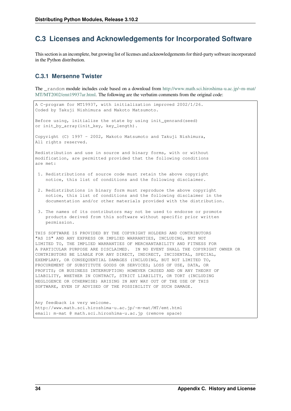# **C.3 Licenses and Acknowledgements for Incorporated Software**

<span id="page-37-0"></span>This section is an incomplete, but growing list of licenses and acknowledgements for third-party software incorporated in the Python distribution.

### **C.3.1 Mersenne Twister**

<span id="page-37-1"></span>The random module includes code based on a download from http://www.math.sci.hiroshima-u.ac.jp/~m-mat/ MT/MT2002/emt19937ar.html. The following are the verbatim comments from the original code:

```
A C-program for MT19937, with initialization improved 2002/1/26.
Coded by Takuji Nishimura and Makoto Matsumoto.
Before using, initialize the state by using init_genrand(seed)
or init_by_array(init_key, key_length).
Copyright (C) 1997 - 2002, Makoto Matsumoto and Takuji Nishimura,
All rights reserved.
Redistribution and use in source and binary forms, with or without
modification, are permitted provided that the following conditions
are met:
1. Redistributions of source code must retain the above copyright
   notice, this list of conditions and the following disclaimer.
 2. Redistributions in binary form must reproduce the above copyright
   notice, this list of conditions and the following disclaimer in the
   documentation and/or other materials provided with the distribution.
3. The names of its contributors may not be used to endorse or promote
    products derived from this software without specific prior written
   permission.
THIS SOFTWARE IS PROVIDED BY THE COPYRIGHT HOLDERS AND CONTRIBUTORS
"AS IS" AND ANY EXPRESS OR IMPLIED WARRANTIES, INCLUDING, BUT NOT
LIMITED TO, THE IMPLIED WARRANTIES OF MERCHANTABILITY AND FITNESS FOR
A PARTICULAR PURPOSE ARE DISCLAIMED. IN NO EVENT SHALL THE COPYRIGHT OWNER OR
CONTRIBUTORS BE LIABLE FOR ANY DIRECT, INDIRECT, INCIDENTAL, SPECIAL,
EXEMPLARY, OR CONSEQUENTIAL DAMAGES (INCLUDING, BUT NOT LIMITED TO,
PROCUREMENT OF SUBSTITUTE GOODS OR SERVICES; LOSS OF USE, DATA, OR
PROFITS; OR BUSINESS INTERRUPTION) HOWEVER CAUSED AND ON ANY THEORY OF
LIABILITY, WHETHER IN CONTRACT, STRICT LIABILITY, OR TORT (INCLUDING
NEGLIGENCE OR OTHERWISE) ARISING IN ANY WAY OUT OF THE USE OF THIS
SOFTWARE, EVEN IF ADVISED OF THE POSSIBILITY OF SUCH DAMAGE.
Any feedback is very welcome.
```
http://www.math.sci.hiroshima-u.ac.jp/~m-mat/MT/emt.html email: m-mat @ math.sci.hiroshima-u.ac.jp (remove space)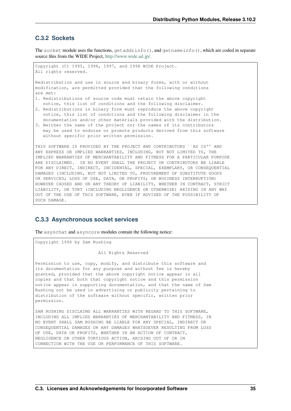#### **C.3.2 Sockets**

The socket module uses the functions, getaddrinfo(), and getnameinfo(), which are coded in separate source files from the WIDE Project, http://www.wide.ad.jp/.

```
Copyright (C) 1995, 1996, 1997, and 1998 WIDE Project.
All rights reserved.
Redistribution and use in source and binary forms, with or without
modification, are permitted provided that the following conditions
are met:
1. Redistributions of source code must retain the above copyright
   notice, this list of conditions and the following disclaimer.
2. Redistributions in binary form must reproduce the above copyright
  notice, this list of conditions and the following disclaimer in the
  documentation and/or other materials provided with the distribution.
3. Neither the name of the project nor the names of its contributors
  may be used to endorse or promote products derived from this software
  without specific prior written permission.
THIS SOFTWARE IS PROVIDED BY THE PROJECT AND CONTRIBUTORS ``AS IS'' AND
ANY EXPRESS OR IMPLIED WARRANTIES, INCLUDING, BUT NOT LIMITED TO, THE
IMPLIED WARRANTIES OF MERCHANTABILITY AND FITNESS FOR A PARTICULAR PURPOSE
ARE DISCLAIMED. IN NO EVENT SHALL THE PROJECT OR CONTRIBUTORS BE LIABLE
FOR ANY DIRECT, INDIRECT, INCIDENTAL, SPECIAL, EXEMPLARY, OR CONSEQUENTIAL
DAMAGES (INCLUDING, BUT NOT LIMITED TO, PROCUREMENT OF SUBSTITUTE GOODS
OR SERVICES; LOSS OF USE, DATA, OR PROFITS; OR BUSINESS INTERRUPTION)
HOWEVER CAUSED AND ON ANY THEORY OF LIABILITY, WHETHER IN CONTRACT, STRICT
LIABILITY, OR TORT (INCLUDING NEGLIGENCE OR OTHERWISE) ARISING IN ANY WAY
OUT OF THE USE OF THIS SOFTWARE, EVEN IF ADVISED OF THE POSSIBILITY OF
SUCH DAMAGE.
```
#### **C.3.3 Asynchronous socket services**

The asynchat and asyncore modules contain the following notice:

<span id="page-38-1"></span>Copyright 1996 by Sam Rushing

All Rights Reserved

Permission to use, copy, modify, and distribute this software and its documentation for any purpose and without fee is hereby granted, provided that the above copyright notice appear in all copies and that both that copyright notice and this permission notice appear in supporting documentation, and that the name of Sam Rushing not be used in advertising or publicity pertaining to distribution of the software without specific, written prior permission.

SAM RUSHING DISCLAIMS ALL WARRANTIES WITH REGARD TO THIS SOFTWARE, INCLUDING ALL IMPLIED WARRANTIES OF MERCHANTABILITY AND FITNESS, IN NO EVENT SHALL SAM RUSHING BE LIABLE FOR ANY SPECIAL, INDIRECT OR CONSEQUENTIAL DAMAGES OR ANY DAMAGES WHATSOEVER RESULTING FROM LOSS OF USE, DATA OR PROFITS, WHETHER IN AN ACTION OF CONTRACT, NEGLIGENCE OR OTHER TORTIOUS ACTION, ARISING OUT OF OR IN CONNECTION WITH THE USE OR PERFORMANCE OF THIS SOFTWARE.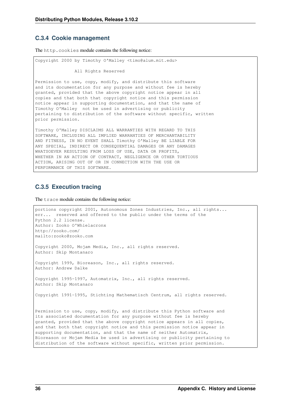#### <span id="page-39-0"></span>**C.3.4 Cookie management**

The http.cookies module contains the following notice:

```
Copyright 2000 by Timothy O'Malley <timo@alum.mit.edu>
               All Rights Reserved
Permission to use, copy, modify, and distribute this software
and its documentation for any purpose and without fee is hereby
granted, provided that the above copyright notice appear in all
copies and that both that copyright notice and this permission
notice appear in supporting documentation, and that the name of
Timothy O'Malley not be used in advertising or publicity
pertaining to distribution of the software without specific, written
prior permission.
Timothy O'Malley DISCLAIMS ALL WARRANTIES WITH REGARD TO THIS
SOFTWARE, INCLUDING ALL IMPLIED WARRANTIES OF MERCHANTABILITY
AND FITNESS, IN NO EVENT SHALL Timothy O'Malley BE LIABLE FOR
ANY SPECIAL, INDIRECT OR CONSEQUENTIAL DAMAGES OR ANY DAMAGES
WHATSOEVER RESULTING FROM LOSS OF USE, DATA OR PROFITS,
WHETHER IN AN ACTION OF CONTRACT, NEGLIGENCE OR OTHER TORTIOUS
ACTION, ARISING OUT OF OR IN CONNECTION WITH THE USE OR
PERFORMANCE OF THIS SOFTWARE.
```
### <span id="page-39-1"></span>**C.3.5 Execution tracing**

The trace module contains the following notice:

```
portions copyright 2001, Autonomous Zones Industries, Inc., all rights...
err... reserved and offered to the public under the terms of the
Python 2.2 license.
Author: Zooko O'Whielacronx
http://zooko.com/
mailto:zooko@zooko.com
Copyright 2000, Mojam Media, Inc., all rights reserved.
Author: Skip Montanaro
Copyright 1999, Bioreason, Inc., all rights reserved.
Author: Andrew Dalke
Copyright 1995-1997, Automatrix, Inc., all rights reserved.
Author: Skip Montanaro
Copyright 1991-1995, Stichting Mathematisch Centrum, all rights reserved.
Permission to use, copy, modify, and distribute this Python software and
its associated documentation for any purpose without fee is hereby
granted, provided that the above copyright notice appears in all copies,
and that both that copyright notice and this permission notice appear in
supporting documentation, and that the name of neither Automatrix,
Bioreason or Mojam Media be used in advertising or publicity pertaining to
distribution of the software without specific, written prior permission.
```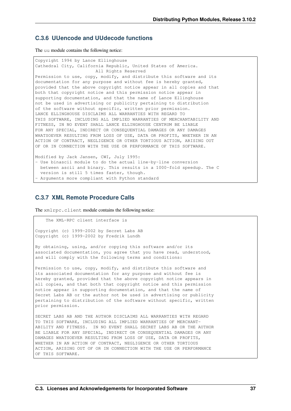#### <span id="page-40-0"></span>**C.3.6 UUencode and UUdecode functions**

The uu module contains the following notice:

```
Copyright 1994 by Lance Ellinghouse
Cathedral City, California Republic, United States of America.
                       All Rights Reserved
Permission to use, copy, modify, and distribute this software and its
documentation for any purpose and without fee is hereby granted,
provided that the above copyright notice appear in all copies and that
both that copyright notice and this permission notice appear in
supporting documentation, and that the name of Lance Ellinghouse
not be used in advertising or publicity pertaining to distribution
of the software without specific, written prior permission.
LANCE ELLINGHOUSE DISCLAIMS ALL WARRANTIES WITH REGARD TO
THIS SOFTWARE, INCLUDING ALL IMPLIED WARRANTIES OF MERCHANTABILITY AND
FITNESS, IN NO EVENT SHALL LANCE ELLINGHOUSE CENTRUM BE LIABLE
FOR ANY SPECIAL, INDIRECT OR CONSEQUENTIAL DAMAGES OR ANY DAMAGES
WHATSOEVER RESULTING FROM LOSS OF USE, DATA OR PROFITS, WHETHER IN AN
ACTION OF CONTRACT, NEGLIGENCE OR OTHER TORTIOUS ACTION, ARISING OUT
OF OR IN CONNECTION WITH THE USE OR PERFORMANCE OF THIS SOFTWARE.
Modified by Jack Jansen, CWI, July 1995:
- Use binascii module to do the actual line-by-line conversion
 between ascii and binary. This results in a 1000-fold speedup. The C
 version is still 5 times faster, though.
- Arguments more compliant with Python standard
```
### <span id="page-40-1"></span>**C.3.7 XML Remote Procedure Calls**

The xmlrpc.client module contains the following notice:

The XML-RPC client interface is

Copyright (c) 1999-2002 by Secret Labs AB Copyright (c) 1999-2002 by Fredrik Lundh

By obtaining, using, and/or copying this software and/or its associated documentation, you agree that you have read, understood, and will comply with the following terms and conditions:

Permission to use, copy, modify, and distribute this software and its associated documentation for any purpose and without fee is hereby granted, provided that the above copyright notice appears in all copies, and that both that copyright notice and this permission notice appear in supporting documentation, and that the name of Secret Labs AB or the author not be used in advertising or publicity pertaining to distribution of the software without specific, written prior permission.

SECRET LABS AB AND THE AUTHOR DISCLAIMS ALL WARRANTIES WITH REGARD TO THIS SOFTWARE, INCLUDING ALL IMPLIED WARRANTIES OF MERCHANT-ABILITY AND FITNESS. IN NO EVENT SHALL SECRET LABS AB OR THE AUTHOR BE LIABLE FOR ANY SPECIAL, INDIRECT OR CONSEQUENTIAL DAMAGES OR ANY DAMAGES WHATSOEVER RESULTING FROM LOSS OF USE, DATA OR PROFITS, WHETHER IN AN ACTION OF CONTRACT, NEGLIGENCE OR OTHER TORTIOUS ACTION, ARISING OUT OF OR IN CONNECTION WITH THE USE OR PERFORMANCE OF THIS SOFTWARE.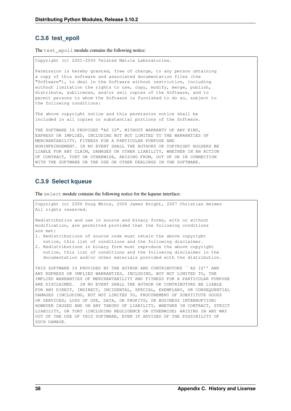#### <span id="page-41-0"></span>**C.3.8 test\_epoll**

The test\_epoll module contains the following notice:

Copyright (c) 2001-2006 Twisted Matrix Laboratories.

Permission is hereby granted, free of charge, to any person obtaining a copy of this software and associated documentation files (the "Software"), to deal in the Software without restriction, including without limitation the rights to use, copy, modify, merge, publish, distribute, sublicense, and/or sell copies of the Software, and to permit persons to whom the Software is furnished to do so, subject to the following conditions:

The above copyright notice and this permission notice shall be included in all copies or substantial portions of the Software.

THE SOFTWARE IS PROVIDED "AS IS", WITHOUT WARRANTY OF ANY KIND, EXPRESS OR IMPLIED, INCLUDING BUT NOT LIMITED TO THE WARRANTIES OF MERCHANTABILITY, FITNESS FOR A PARTICULAR PURPOSE AND NONINFRINGEMENT. IN NO EVENT SHALL THE AUTHORS OR COPYRIGHT HOLDERS BE LIABLE FOR ANY CLAIM, DAMAGES OR OTHER LIABILITY, WHETHER IN AN ACTION OF CONTRACT, TORT OR OTHERWISE, ARISING FROM, OUT OF OR IN CONNECTION WITH THE SOFTWARE OR THE USE OR OTHER DEALINGS IN THE SOFTWARE.

#### <span id="page-41-1"></span>**C.3.9 Select kqueue**

The select module contains the following notice for the kqueue interface:

Copyright (c) 2000 Doug White, 2006 James Knight, 2007 Christian Heimes All rights reserved.

Redistribution and use in source and binary forms, with or without modification, are permitted provided that the following conditions are met:

- 1. Redistributions of source code must retain the above copyright notice, this list of conditions and the following disclaimer.
- 2. Redistributions in binary form must reproduce the above copyright notice, this list of conditions and the following disclaimer in the documentation and/or other materials provided with the distribution.

THIS SOFTWARE IS PROVIDED BY THE AUTHOR AND CONTRIBUTORS ``AS IS'' AND ANY EXPRESS OR IMPLIED WARRANTIES, INCLUDING, BUT NOT LIMITED TO, THE IMPLIED WARRANTIES OF MERCHANTABILITY AND FITNESS FOR A PARTICULAR PURPOSE ARE DISCLAIMED. IN NO EVENT SHALL THE AUTHOR OR CONTRIBUTORS BE LIABLE FOR ANY DIRECT, INDIRECT, INCIDENTAL, SPECIAL, EXEMPLARY, OR CONSEQUENTIAL DAMAGES (INCLUDING, BUT NOT LIMITED TO, PROCUREMENT OF SUBSTITUTE GOODS OR SERVICES; LOSS OF USE, DATA, OR PROFITS; OR BUSINESS INTERRUPTION) HOWEVER CAUSED AND ON ANY THEORY OF LIABILITY, WHETHER IN CONTRACT, STRICT LIABILITY, OR TORT (INCLUDING NEGLIGENCE OR OTHERWISE) ARISING IN ANY WAY OUT OF THE USE OF THIS SOFTWARE, EVEN IF ADVISED OF THE POSSIBILITY OF SUCH DAMAGE.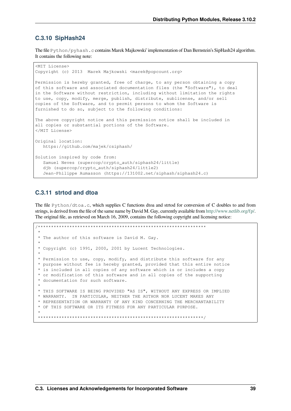#### **C.3.10 SipHash24**

The file Python/pyhash.c contains Marek Majkowski' implementation of Dan Bernstein's SipHash24 algorithm. It contains the following note:

```
<MIT License>
Copyright (c) 2013 Marek Majkowski <marek@popcount.org>
Permission is hereby granted, free of charge, to any person obtaining a copy
of this software and associated documentation files (the "Software"), to deal
in the Software without restriction, including without limitation the rights
to use, copy, modify, merge, publish, distribute, sublicense, and/or sell
copies of the Software, and to permit persons to whom the Software is
furnished to do so, subject to the following conditions:
The above copyright notice and this permission notice shall be included in
all copies or substantial portions of the Software.
</MIT License>
Original location:
  https://github.com/majek/csiphash/
Solution inspired by code from:
  Samuel Neves (supercop/crypto_auth/siphash24/little)
  djb (supercop/crypto_auth/siphash24/little2)
  Jean-Philippe Aumasson (https://131002.net/siphash/siphash24.c)
```
#### **C.3.11 strtod and dtoa**

<span id="page-42-1"></span>The file Python/dtoa.c, which supplies C functions dtoa and strtod for conversion of C doubles to and from strings, is derived from the file of the same name by David M. Gay, currently available from http://www.netlib.org/fp/. The original file, as retrieved on March 16, 2009, contains the following copyright and licensing notice:

```
/****************************************************************
 *
* The author of this software is David M. Gay.
 *
* Copyright (c) 1991, 2000, 2001 by Lucent Technologies.
 *
* Permission to use, copy, modify, and distribute this software for any
* purpose without fee is hereby granted, provided that this entire notice
* is included in all copies of any software which is or includes a copy
* or modification of this software and in all copies of the supporting
* documentation for such software.
 *
* THIS SOFTWARE IS BEING PROVIDED "AS IS", WITHOUT ANY EXPRESS OR IMPLIED
* WARRANTY. IN PARTICULAR, NEITHER THE AUTHOR NOR LUCENT MAKES ANY
* REPRESENTATION OR WARRANTY OF ANY KIND CONCERNING THE MERCHANTABILITY
* OF THIS SOFTWARE OR ITS FITNESS FOR ANY PARTICULAR PURPOSE.
 *
 ***************************************************************/
```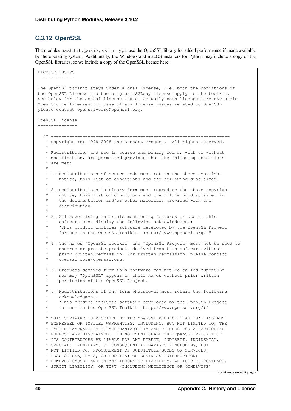#### <span id="page-43-0"></span>**C.3.12 OpenSSL**

The modules hashlib, posix, ssl, crypt use the OpenSSL library for added performance if made available by the operating system. Additionally, the Windows and macOS installers for Python may include a copy of the OpenSSL libraries, so we include a copy of the OpenSSL license here:

```
LICENSE ISSUES
==============
The OpenSSL toolkit stays under a dual license, i.e. both the conditions of
the OpenSSL License and the original SSLeay license apply to the toolkit.
See below for the actual license texts. Actually both licenses are BSD-style
Open Source licenses. In case of any license issues related to OpenSSL
please contact openssl-core@openssl.org.
OpenSSL License
---------------
  /* ====================================================================
   * Copyright (c) 1998-2008 The OpenSSL Project. All rights reserved.
   *
   * Redistribution and use in source and binary forms, with or without
   * modification, are permitted provided that the following conditions
   * are met:
   *
   * 1. Redistributions of source code must retain the above copyright
       notice, this list of conditions and the following disclaimer.
   *
   * 2. Redistributions in binary form must reproduce the above copyright
        notice, this list of conditions and the following disclaimer in
        the documentation and/or other materials provided with the
        distribution.
   *
    3. All advertising materials mentioning features or use of this
        software must display the following acknowledgment:
        "This product includes software developed by the OpenSSL Project
        for use in the OpenSSL Toolkit. (http://www.openssl.org/)"
   *
   * 4. The names "OpenSSL Toolkit" and "OpenSSL Project" must not be used to
        endorse or promote products derived from this software without
        prior written permission. For written permission, please contact
        openssl-core@openssl.org.
   *
   * 5. Products derived from this software may not be called "OpenSSL"
        nor may "OpenSSL" appear in their names without prior written
        permission of the OpenSSL Project.
   *
   * 6. Redistributions of any form whatsoever must retain the following
       acknowledgment:
        * "This product includes software developed by the OpenSSL Project
        for use in the OpenSSL Toolkit (http://www.openssl.org/)"
   *
   * THIS SOFTWARE IS PROVIDED BY THE OpenSSL PROJECT ``AS IS'' AND ANY
   * EXPRESSED OR IMPLIED WARRANTIES, INCLUDING, BUT NOT LIMITED TO, THE
   * IMPLIED WARRANTIES OF MERCHANTABILITY AND FITNESS FOR A PARTICULAR
   * PURPOSE ARE DISCLAIMED. IN NO EVENT SHALL THE OpenSSL PROJECT OR
   * ITS CONTRIBUTORS BE LIABLE FOR ANY DIRECT, INDIRECT, INCIDENTAL,
   * SPECIAL, EXEMPLARY, OR CONSEQUENTIAL DAMAGES (INCLUDING, BUT
   * NOT LIMITED TO, PROCUREMENT OF SUBSTITUTE GOODS OR SERVICES;
   * LOSS OF USE, DATA, OR PROFITS; OR BUSINESS INTERRUPTION)
   * HOWEVER CAUSED AND ON ANY THEORY OF LIABILITY, WHETHER IN CONTRACT,
   * STRICT LIABILITY, OR TORT (INCLUDING NEGLIGENCE OR OTHERWISE)
```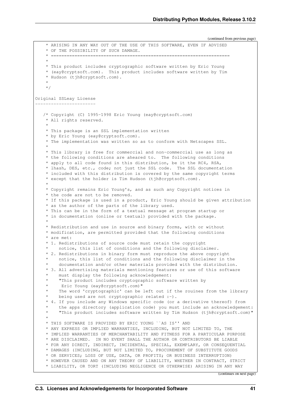```
* ARISING IN ANY WAY OUT OF THE USE OF THIS SOFTWARE, EVEN IF ADVISED
    * OF THE POSSIBILITY OF SUCH DAMAGE.
    * ====================================================================
    *
    * This product includes cryptographic software written by Eric Young
    * (eay@cryptsoft.com). This product includes software written by Tim
    * Hudson (tjh@cryptsoft.com).
    *
    */
Original SSLeay License
    -----------------------
  /* Copyright (C) 1995-1998 Eric Young (eay@cryptsoft.com)
   * All rights reserved.
    *
    * This package is an SSL implementation written
    * by Eric Young (eay@cryptsoft.com).
    * The implementation was written so as to conform with Netscapes SSL.
    *
    * This library is free for commercial and non-commercial use as long as
    * the following conditions are aheared to. The following conditions
    * apply to all code found in this distribution, be it the RC4, RSA,
    * lhash, DES, etc., code; not just the SSL code. The SSL documentation
    * included with this distribution is covered by the same copyright terms
    * except that the holder is Tim Hudson (tjh@cryptsoft.com).
    *
   * Copyright remains Eric Young's, and as such any Copyright notices in
    * the code are not to be removed.
    * If this package is used in a product, Eric Young should be given attribution
    * as the author of the parts of the library used.
    * This can be in the form of a textual message at program startup or
    * in documentation (online or textual) provided with the package.
    *
    * Redistribution and use in source and binary forms, with or without
    * modification, are permitted provided that the following conditions
    * are met:
    * 1. Redistributions of source code must retain the copyright
        notice, this list of conditions and the following disclaimer.
    * 2. Redistributions in binary form must reproduce the above copyright
        notice, this list of conditions and the following disclaimer in the
        documentation and/or other materials provided with the distribution.
    * 3. All advertising materials mentioning features or use of this software
        must display the following acknowledgement:
        "This product includes cryptographic software written by
         Eric Young (eay@cryptsoft.com)"
        The word 'cryptographic' can be left out if the rouines from the library
        being used are not cryptographic related :-).
    * 4. If you include any Windows specific code (or a derivative thereof) from
        the apps directory (application code) you must include an acknowledgement:
         * "This product includes software written by Tim Hudson (tjh@cryptsoft.com)"
    *
    * THIS SOFTWARE IS PROVIDED BY ERIC YOUNG ``AS IS'' AND
    * ANY EXPRESS OR IMPLIED WARRANTIES, INCLUDING, BUT NOT LIMITED TO, THE
    * IMPLIED WARRANTIES OF MERCHANTABILITY AND FITNESS FOR A PARTICULAR PURPOSE
    * ARE DISCLAIMED. IN NO EVENT SHALL THE AUTHOR OR CONTRIBUTORS BE LIABLE
    * FOR ANY DIRECT, INDIRECT, INCIDENTAL, SPECIAL, EXEMPLARY, OR CONSEQUENTIAL
    * DAMAGES (INCLUDING, BUT NOT LIMITED TO, PROCUREMENT OF SUBSTITUTE GOODS
    * OR SERVICES; LOSS OF USE, DATA, OR PROFITS; OR BUSINESS INTERRUPTION)
    * HOWEVER CAUSED AND ON ANY THEORY OF LIABILITY, WHETHER IN CONTRACT, STRICT
    * LIABILITY, OR TORT (INCLUDING NEGLIGENCE OR OTHERWISE) ARISING IN ANY WAY
```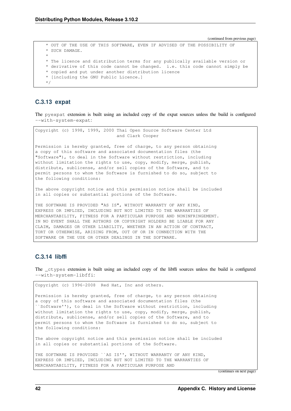```
* OUT OF THE USE OF THIS SOFTWARE, EVEN IF ADVISED OF THE POSSIBILITY OF
* SUCH DAMAGE.
*
* The licence and distribution terms for any publically available version or
* derivative of this code cannot be changed. i.e. this code cannot simply be
* copied and put under another distribution licence
* [including the GNU Public Licence.]
*/
```
#### <span id="page-45-0"></span>**C.3.13 expat**

The pyexpat extension is built using an included copy of the expat sources unless the build is configured --with-system-expat:

Copyright (c) 1998, 1999, 2000 Thai Open Source Software Center Ltd and Clark Cooper Permission is hereby granted, free of charge, to any person obtaining a copy of this software and associated documentation files (the "Software"), to deal in the Software without restriction, including without limitation the rights to use, copy, modify, merge, publish, distribute, sublicense, and/or sell copies of the Software, and to permit persons to whom the Software is furnished to do so, subject to the following conditions:

The above copyright notice and this permission notice shall be included in all copies or substantial portions of the Software.

THE SOFTWARE IS PROVIDED "AS IS", WITHOUT WARRANTY OF ANY KIND, EXPRESS OR IMPLIED, INCLUDING BUT NOT LIMITED TO THE WARRANTIES OF MERCHANTABILITY, FITNESS FOR A PARTICULAR PURPOSE AND NONINFRINGEMENT. IN NO EVENT SHALL THE AUTHORS OR COPYRIGHT HOLDERS BE LIABLE FOR ANY CLAIM, DAMAGES OR OTHER LIABILITY, WHETHER IN AN ACTION OF CONTRACT, TORT OR OTHERWISE, ARISING FROM, OUT OF OR IN CONNECTION WITH THE SOFTWARE OR THE USE OR OTHER DEALINGS IN THE SOFTWARE.

#### <span id="page-45-1"></span>**C.3.14 libffi**

The \_ctypes extension is built using an included copy of the libffi sources unless the build is configured --with-system-libffi:

Copyright (c) 1996-2008 Red Hat, Inc and others.

Permission is hereby granted, free of charge, to any person obtaining a copy of this software and associated documentation files (the ``Software''), to deal in the Software without restriction, including without limitation the rights to use, copy, modify, merge, publish, distribute, sublicense, and/or sell copies of the Software, and to permit persons to whom the Software is furnished to do so, subject to the following conditions:

The above copyright notice and this permission notice shall be included in all copies or substantial portions of the Software.

THE SOFTWARE IS PROVIDED ``AS IS'', WITHOUT WARRANTY OF ANY KIND, EXPRESS OR IMPLIED, INCLUDING BUT NOT LIMITED TO THE WARRANTIES OF MERCHANTABILITY, FITNESS FOR A PARTICULAR PURPOSE AND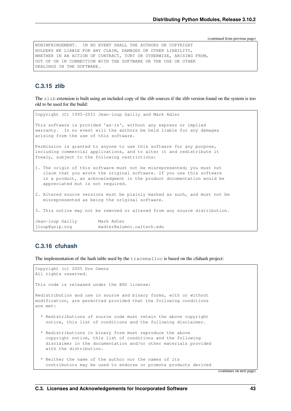```
NONINFRINGEMENT. IN NO EVENT SHALL THE AUTHORS OR COPYRIGHT
HOLDERS BE LIABLE FOR ANY CLAIM, DAMAGES OR OTHER LIABILITY,
WHETHER IN AN ACTION OF CONTRACT, TORT OR OTHERWISE, ARISING FROM,
OUT OF OR IN CONNECTION WITH THE SOFTWARE OR THE USE OR OTHER
DEALINGS IN THE SOFTWARE.
```
#### **C.3.15 zlib**

The zlib extension is built using an included copy of the zlib sources if the zlib version found on the system is too old to be used for the build:

```
Copyright (C) 1995-2011 Jean-loup Gailly and Mark Adler
This software is provided 'as-is', without any express or implied
warranty. In no event will the authors be held liable for any damages
arising from the use of this software.
Permission is granted to anyone to use this software for any purpose,
including commercial applications, and to alter it and redistribute it
freely, subject to the following restrictions:
1. The origin of this software must not be misrepresented; you must not
  claim that you wrote the original software. If you use this software
  in a product, an acknowledgment in the product documentation would be
  appreciated but is not required.
2. Altered source versions must be plainly marked as such, and must not be
  misrepresented as being the original software.
3. This notice may not be removed or altered from any source distribution.
Jean-loup Gailly Mark Adler
jloup@gzip.org madler@alumni.caltech.edu
```
#### **C.3.16 cfuhash**

The implementation of the hash table used by the tracemalloc is based on the cfuhash project:

```
Copyright (c) 2005 Don Owens
All rights reserved.
This code is released under the BSD license:
Redistribution and use in source and binary forms, with or without
modification, are permitted provided that the following conditions
are met:
  * Redistributions of source code must retain the above copyright
   notice, this list of conditions and the following disclaimer.
  * Redistributions in binary form must reproduce the above
   copyright notice, this list of conditions and the following
    disclaimer in the documentation and/or other materials provided
   with the distribution.
  * Neither the name of the author nor the names of its
    contributors may be used to endorse or promote products derived
```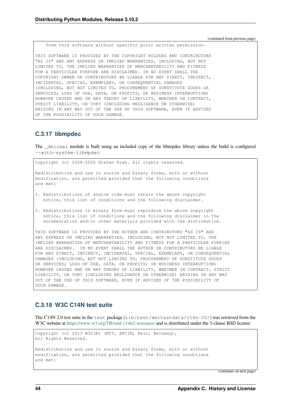from this software without specific prior written permission. THIS SOFTWARE IS PROVIDED BY THE COPYRIGHT HOLDERS AND CONTRIBUTORS "AS IS" AND ANY EXPRESS OR IMPLIED WARRANTIES, INCLUDING, BUT NOT LIMITED TO, THE IMPLIED WARRANTIES OF MERCHANTABILITY AND FITNESS FOR A PARTICULAR PURPOSE ARE DISCLAIMED. IN NO EVENT SHALL THE COPYRIGHT OWNER OR CONTRIBUTORS BE LIABLE FOR ANY DIRECT, INDIRECT, INCIDENTAL, SPECIAL, EXEMPLARY, OR CONSEQUENTIAL DAMAGES (INCLUDING, BUT NOT LIMITED TO, PROCUREMENT OF SUBSTITUTE GOODS OR SERVICES; LOSS OF USE, DATA, OR PROFITS; OR BUSINESS INTERRUPTION) HOWEVER CAUSED AND ON ANY THEORY OF LIABILITY, WHETHER IN CONTRACT, STRICT LIABILITY, OR TORT (INCLUDING NEGLIGENCE OR OTHERWISE) ARISING IN ANY WAY OUT OF THE USE OF THIS SOFTWARE, EVEN IF ADVISED OF THE POSSIBILITY OF SUCH DAMAGE.

#### **C.3.17 libmpdec**

The decimal module is built using an included copy of the libmpdec library unless the build is configured --with-system-libmpdec:

Copyright (c) 2008-2020 Stefan Krah. All rights reserved.

Redistribution and use in source and binary forms, with or without modification, are permitted provided that the following conditions are met:

- 1. Redistributions of source code must retain the above copyright notice, this list of conditions and the following disclaimer.
- 2. Redistributions in binary form must reproduce the above copyright notice, this list of conditions and the following disclaimer in the documentation and/or other materials provided with the distribution.

THIS SOFTWARE IS PROVIDED BY THE AUTHOR AND CONTRIBUTORS "AS IS" AND ANY EXPRESS OR IMPLIED WARRANTIES, INCLUDING, BUT NOT LIMITED TO, THE IMPLIED WARRANTIES OF MERCHANTABILITY AND FITNESS FOR A PARTICULAR PURPOSE ARE DISCLAIMED. IN NO EVENT SHALL THE AUTHOR OR CONTRIBUTORS BE LIABLE FOR ANY DIRECT, INDIRECT, INCIDENTAL, SPECIAL, EXEMPLARY, OR CONSEQUENTIAL DAMAGES (INCLUDING, BUT NOT LIMITED TO, PROCUREMENT OF SUBSTITUTE GOODS OR SERVICES; LOSS OF USE, DATA, OR PROFITS; OR BUSINESS INTERRUPTION) HOWEVER CAUSED AND ON ANY THEORY OF LIABILITY, WHETHER IN CONTRACT, STRICT LIABILITY, OR TORT (INCLUDING NEGLIGENCE OR OTHERWISE) ARISING IN ANY WAY OUT OF THE USE OF THIS SOFTWARE, EVEN IF ADVISED OF THE POSSIBILITY OF SUCH DAMAGE.

#### **C.3.18 W3C C14N test suite**

The C14N 2.0 test suite in the test package  $(\text{Lib}/\text{test}/\text{xmltestdata}/c14n-20/)$  was retrieved from the W3C website at https://www.w3.org/TR/xml-c14n2-testcases/ and is distributed under the 3-clause BSD license:

```
Copyright (c) 2013 W3C(R) (MIT, ERCIM, Keio, Beihang),
All Rights Reserved.
Redistribution and use in source and binary forms, with or without
modification, are permitted provided that the following conditions
are met:
```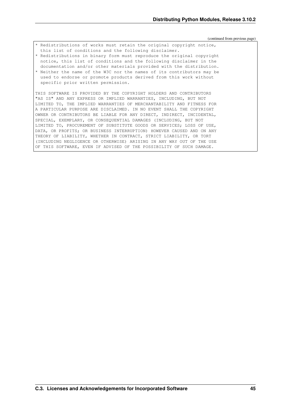\* Redistributions of works must retain the original copyright notice, this list of conditions and the following disclaimer. \* Redistributions in binary form must reproduce the original copyright notice, this list of conditions and the following disclaimer in the documentation and/or other materials provided with the distribution. \* Neither the name of the W3C nor the names of its contributors may be used to endorse or promote products derived from this work without specific prior written permission. THIS SOFTWARE IS PROVIDED BY THE COPYRIGHT HOLDERS AND CONTRIBUTORS "AS IS" AND ANY EXPRESS OR IMPLIED WARRANTIES, INCLUDING, BUT NOT LIMITED TO, THE IMPLIED WARRANTIES OF MERCHANTABILITY AND FITNESS FOR A PARTICULAR PURPOSE ARE DISCLAIMED. IN NO EVENT SHALL THE COPYRIGHT OWNER OR CONTRIBUTORS BE LIABLE FOR ANY DIRECT, INDIRECT, INCIDENTAL, SPECIAL, EXEMPLARY, OR CONSEQUENTIAL DAMAGES (INCLUDING, BUT NOT LIMITED TO, PROCUREMENT OF SUBSTITUTE GOODS OR SERVICES; LOSS OF USE, DATA, OR PROFITS; OR BUSINESS INTERRUPTION) HOWEVER CAUSED AND ON ANY THEORY OF LIABILITY, WHETHER IN CONTRACT, STRICT LIABILITY, OR TORT (INCLUDING NEGLIGENCE OR OTHERWISE) ARISING IN ANY WAY OUT OF THE USE OF THIS SOFTWARE, EVEN IF ADVISED OF THE POSSIBILITY OF SUCH DAMAGE.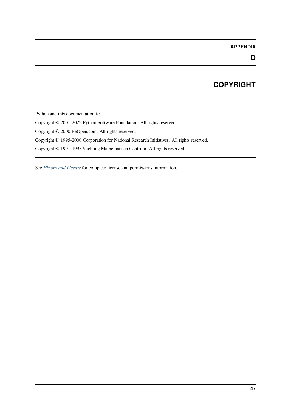### **COPYRIGHT**

Python and this documentation is:

Copyright © 2001-2022 Python Software Foundation. All rights reserved.

Copyright © 2000 BeOpen.com. All rights reserved.

Copyright © 1995-2000 Corporation for National Research Initiatives. All rights reserved.

Copyright © 1991-1995 Stichting Mathematisch Centrum. All rights reserved.

See *History and License* for complete license and permissions information.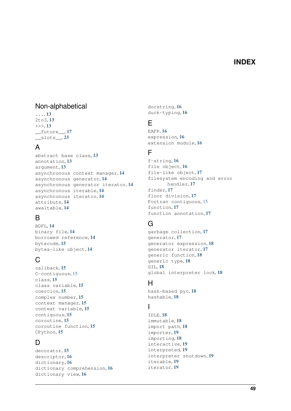### **INDEX**

### Non-alphabetical

```
..., 13
2to3, 13
>>>, 13
__future__, 17
__slots__, 23
```
### A

```
abstract base class, 13
annotation, 13
argument, 13
asynchronous context manager, 14
asynchronous generator, 14
asynchronous generator iterator, 14
asynchronous iterable, 14
asynchronous iterator, 14
attribute, 14
awaitable, 14
```
### B

BDFL, **14** binary fi[le](#page-17-7), **14** borrowed reference, **14** bytecode, **15** byte[s-l](#page-17-7)ike object, **14**

# C

```
callback, 15
C-contiguous, 15
class, 15
class variable, 15
coercion, 15
complex number, 15
context manager, 15
context variable, 15
contiguous, 15
coroutine, 15
coroutine function, 15
CPython, 15
```
### D

decorator, **15** descrip[tor](#page-18-3), **16** dictionary, **16** dictionary comprehension, **16** dictionar[y v](#page-18-3)iew, **16**

docstring, **16** duck-typing, **16**

### E

EAFP, **16** expression, **1[6](#page-19-4)** extension module, **16**

#### F

f-string, **16** file object, **16** file-like object, **17** filesystem encoding and error ha[nd](#page-19-4)ler, **17** finder, **17** floor divis[ion](#page-19-4), **17** Fortran contiguo[us](#page-20-7), 15 function, **17** functi[on](#page-20-7) annotation, **17**

### G

```
garbage collection, 17
generator, 17
generator expression, 18
generator iterator, 17
generic function, 18
generic type, 18
GIL, 18
global interpreter lock, 18
```
### H

has[h-b](#page-21-4)ased pyc, **18** hashable, **18**

#### I

```
IDLE, 18
immutable, 18
import path, 18
importer, 19
importing, 18
interactive, 19
interpreted, 19
interpreter shutdown, 19
iterable, 19
iterator, 19
```